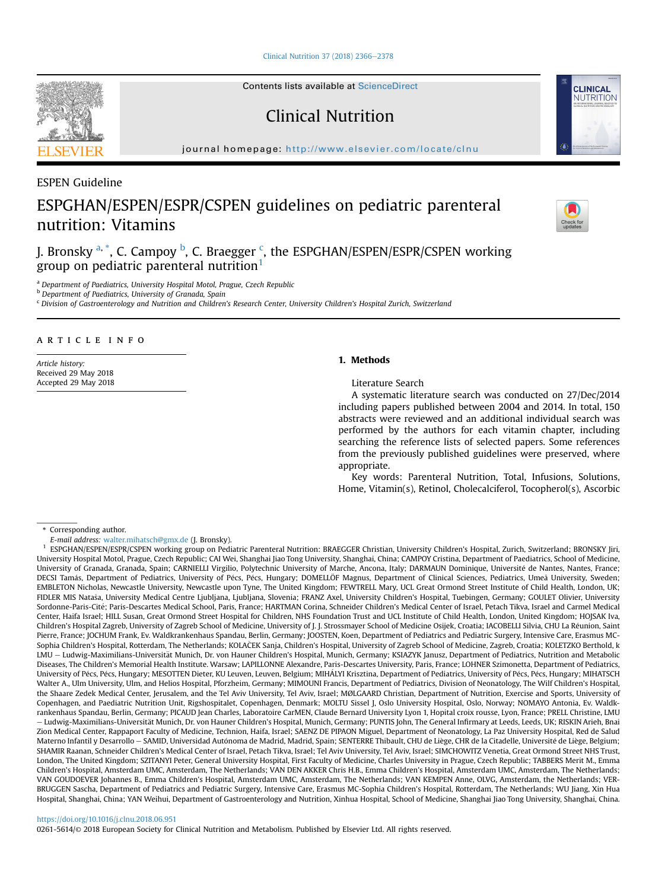[Clinical Nutrition 37 \(2018\) 2366](https://doi.org/10.1016/j.clnu.2018.06.951)-[2378](https://doi.org/10.1016/j.clnu.2018.06.951)

Contents lists available at ScienceDirect

Clinical Nutrition

journal homepage: <http://www.elsevier.com/locate/clnu>

ESPEN Guideline

# ESPGHAN/ESPEN/ESPR/CSPEN guidelines on pediatric parenteral nutrition: Vitamins

J. Bronsky <sup>a, \*</sup>, C. Campoy <sup>b</sup>, C. Braegger <sup>c</sup>, the ESPGHAN/ESPEN/ESPR/CSPEN working group on pediatric parenteral nutrition<sup>1</sup>

<sup>a</sup> Department of Paediatrics, University Hospital Motol, Prague, Czech Republic

b Department of Paediatrics, University of Granada, Spain

<sup>c</sup> Division of Gastroenterology and Nutrition and Children's Research Center, University Children's Hospital Zurich, Switzerland

# article info

Article history: Received 29 May 2018 Accepted 29 May 2018

# 1. Methods

Literature Search

A systematic literature search was conducted on 27/Dec/2014 including papers published between 2004 and 2014. In total, 150 abstracts were reviewed and an additional individual search was performed by the authors for each vitamin chapter, including searching the reference lists of selected papers. Some references from the previously published guidelines were preserved, where appropriate.

Key words: Parenteral Nutrition, Total, Infusions, Solutions, Home, Vitamin(s), Retinol, Cholecalciferol, Tocopherol(s), Ascorbic

\* Corresponding author.

E-mail address: [walter.mihatsch@gmx.de](mailto:walter.mihatsch@gmx.de) (J. Bronsky).

# <https://doi.org/10.1016/j.clnu.2018.06.951>

0261-5614/© 2018 European Society for Clinical Nutrition and Metabolism. Published by Elsevier Ltd. All rights reserved.







<sup>&</sup>lt;sup>1</sup> ESPGHAN/ESPEN/ESPR/CSPEN working group on Pediatric Parenteral Nutrition: BRAEGGER Christian, University Children's Hospital, Zurich, Switzerland; BRONSKY Jiri, University Hospital Motol, Prague, Czech Republic; CAI Wei, Shanghai Jiao Tong University, Shanghai, China; CAMPOY Cristina, Department of Paediatrics, School of Medicine, University of Granada, Granada, Spain; CARNIELLI Virgilio, Polytechnic University of Marche, Ancona, Italy; DARMAUN Dominique, Universite de Nantes, Nantes, France; DECSI Tamás, Department of Pediatrics, University of Pécs, Pécs, Hungary; DOMELLÖF Magnus, Department of Clinical Sciences, Pediatrics, Umeå University, Sweden; EMBLETON Nicholas, Newcastle University, Newcastle upon Tyne, The United Kingdom; FEWTRELL Mary, UCL Great Ormond Street Institute of Child Health, London, UK; FIDLER MIS Natasa, University Medical Centre Ljubljana, Ljubljana, Slovenia; FRANZ Axel, University Children's Hospital, Tuebingen, Germany; GOULET Olivier, University Sordonne-Paris-Cité; Paris-Descartes Medical School, Paris, France; HARTMAN Corina, Schneider Children's Medical Center of Israel, Petach Tikva, Israel and Carmel Medical Center, Haifa Israel; HILL Susan, Great Ormond Street Hospital for Children, NHS Foundation Trust and UCL Institute of Child Health, London, United Kingdom; HOJSAK Iva, Children's Hospital Zagreb, University of Zagreb School of Medicine, University of J. J. Strossmayer School of Medicine Osijek, Croatia; IACOBELLI Silvia, CHU La Reunion, Saint Pierre, France; JOCHUM Frank, Ev. Waldkrankenhaus Spandau, Berlin, Germany; JOOSTEN, Koen, Department of Pediatrics and Pediatric Surgery, Intensive Care, Erasmus MC-Sophia Children's Hospital, Rotterdam, The Netherlands; KOLAČEK Sanja, Children's Hospital, University of Zagreb School of Medicine, Zagreb, Croatia; KOLETZKO Berthold, k LMU - Ludwig-Maximilians-Universität Munich, Dr. von Hauner Children's Hospital, Munich, Germany; KSIAZYK Janusz, Department of Pediatrics, Nutrition and Metabolic Diseases, The Children's Memorial Health Institute. Warsaw; LAPILLONNE Alexandre, Paris-Descartes University, Paris, France; LOHNER Szimonetta, Department of Pediatrics, University of Pécs, Pécs, Hungary; MESOTTEN Dieter, KU Leuven, Leuven, Belgium; MIHÁLYI Krisztina, Department of Pediatrics, University of Pécs, Pécs, Hungary; MIHATSCH Walter A., Ulm University, Ulm, and Helios Hospital, Pforzheim, Germany; MIMOUNI Francis, Department of Pediatrics, Division of Neonatology, The Wilf Children's Hospital, the Shaare Zedek Medical Center, Jerusalem, and the Tel Aviv University, Tel Aviv, Israel; MØLGAARD Christian, Department of Nutrition, Exercise and Sports, University of Copenhagen, and Paediatric Nutrition Unit, Rigshospitalet, Copenhagen, Denmark; MOLTU Sissel J, Oslo University Hospital, Oslo, Norway; NOMAYO Antonia, Ev. Waldkrankenhaus Spandau, Berlin, Germany; PICAUD Jean Charles, Laboratoire CarMEN, Claude Bernard University Lyon 1, Hopital croix rousse, Lyon, France; PRELL Christine, LMU – Ludwig-Maximilians-Universität Munich, Dr. von Hauner Children's Hospital, Munich, Germany; PUNTIS John, The General Infirmary at Leeds, Leeds, UK; RISKIN Arieh, Bnai Zion Medical Center, Rappaport Faculty of Medicine, Technion, Haifa, Israel; SAENZ DE PIPAON Miguel, Department of Neonatology, La Paz University Hospital, Red de Salud Materno Infantil y Desarrollo - SAMID, Universidad Autónoma de Madrid, Madrid, Spain; SENTERRE Thibault, CHU de Liège, CHR de la Citadelle, Université de Liège, Belgium; SHAMIR Raanan, Schneider Children's Medical Center of Israel, Petach Tikva, Israel; Tel Aviv University, Tel Aviv, Israel; SIMCHOWITZ Venetia, Great Ormond Street NHS Trust, London, The United Kingdom; SZITANYI Peter, General University Hospital, First Faculty of Medicine, Charles University in Prague, Czech Republic; TABBERS Merit M., Emma Children's Hospital, Amsterdam UMC, Amsterdam, The Netherlands; VAN DEN AKKER Chris H.B., Emma Children's Hospital, Amsterdam UMC, Amsterdam, The Netherlands; VAN GOUDOEVER Johannes B., Emma Children's Hospital, Amsterdam UMC, Amsterdam, The Netherlands; VAN KEMPEN Anne, OLVG, Amsterdam, the Netherlands; VER-BRUGGEN Sascha, Department of Pediatrics and Pediatric Surgery, Intensive Care, Erasmus MC-Sophia Children's Hospital, Rotterdam, The Netherlands; WU Jiang, Xin Hua Hospital, Shanghai, China; YAN Weihui, Department of Gastroenterology and Nutrition, Xinhua Hospital, School of Medicine, Shanghai Jiao Tong University, Shanghai, China.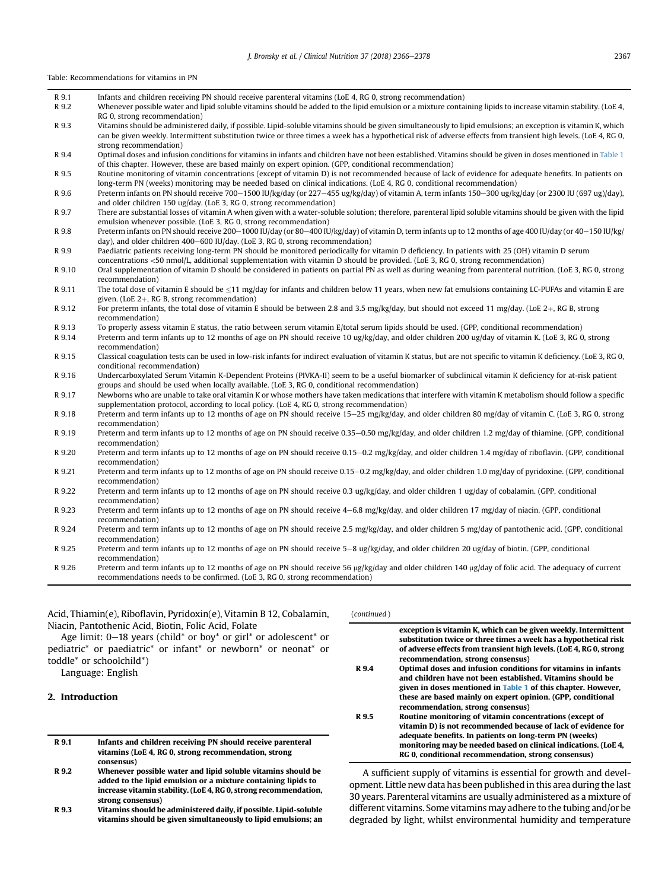|        | Table: Recommendations for vitamins in PN                                                                                                                                                                                                                                                                                                                   |
|--------|-------------------------------------------------------------------------------------------------------------------------------------------------------------------------------------------------------------------------------------------------------------------------------------------------------------------------------------------------------------|
| R 9.1  | Infants and children receiving PN should receive parenteral vitamins (LoE 4, RG 0, strong recommendation)                                                                                                                                                                                                                                                   |
| R 9.2  | Whenever possible water and lipid soluble vitamins should be added to the lipid emulsion or a mixture containing lipids to increase vitamin stability. (LoE 4,<br>RG 0, strong recommendation)                                                                                                                                                              |
| R 9.3  | Vitamins should be administered daily, if possible. Lipid-soluble vitamins should be given simultaneously to lipid emulsions; an exception is vitamin K, which<br>can be given weekly. Intermittent substitution twice or three times a week has a hypothetical risk of adverse effects from transient high levels. (LoE 4, RG 0,<br>strong recommendation) |
| R 9.4  | Optimal doses and infusion conditions for vitamins in infants and children have not been established. Vitamins should be given in doses mentioned in Table 1<br>of this chapter. However, these are based mainly on expert opinion. (GPP, conditional recommendation)                                                                                       |
| R 9.5  | Routine monitoring of vitamin concentrations (except of vitamin D) is not recommended because of lack of evidence for adequate benefits. In patients on<br>long-term PN (weeks) monitoring may be needed based on clinical indications. (LoE 4, RG 0, conditional recommendation)                                                                           |
| R 9.6  | Preterm infants on PN should receive 700-1500 IU/kg/day (or 227-455 ug/kg/day) of vitamin A, term infants 150-300 ug/kg/day (or 2300 IU (697 ug)/day),<br>and older children 150 ug/day. (LoE 3, RG 0, strong recommendation)                                                                                                                               |
| R 9.7  | There are substantial losses of vitamin A when given with a water-soluble solution; therefore, parenteral lipid soluble vitamins should be given with the lipid<br>emulsion whenever possible, (LoE 3, RG 0, strong recommendation)                                                                                                                         |
| R 9.8  | Preterm infants on PN should receive 200–1000 IU/day (or 80–400 IU/kg/day) of vitamin D, term infants up to 12 months of age 400 IU/day (or 40–150 IU/kg/<br>day), and older children 400-600 IU/day. (LoE 3, RG 0, strong recommendation)                                                                                                                  |
| R 9.9  | Paediatric patients receiving long-term PN should be monitored periodically for vitamin D deficiency. In patients with 25 (OH) vitamin D serum<br>concentrations <50 nmol/L, additional supplementation with vitamin D should be provided. (LoE 3, RG 0, strong recommendation)                                                                             |
| R 9.10 | Oral supplementation of vitamin D should be considered in patients on partial PN as well as during weaning from parenteral nutrition. (LoE 3, RG 0, strong<br>recommendation)                                                                                                                                                                               |
| R 9.11 | The total dose of vitamin E should be $\leq$ 11 mg/day for infants and children below 11 years, when new fat emulsions containing LC-PUFAs and vitamin E are<br>given. (LoE $2+$ , RG B, strong recommendation)                                                                                                                                             |
| R 9.12 | For preterm infants, the total dose of vitamin E should be between 2.8 and 3.5 mg/kg/day, but should not exceed 11 mg/day. (LoE 2+, RG B, strong<br>recommendation)                                                                                                                                                                                         |
| R 9.13 | To properly assess vitamin E status, the ratio between serum vitamin E/total serum lipids should be used. (GPP, conditional recommendation)                                                                                                                                                                                                                 |
| R 9.14 | Preterm and term infants up to 12 months of age on PN should receive 10 ug/kg/day, and older children 200 ug/day of vitamin K. (LoE 3, RG 0, strong<br>recommendation)                                                                                                                                                                                      |
| R 9.15 | Classical coagulation tests can be used in low-risk infants for indirect evaluation of vitamin K status, but are not specific to vitamin K deficiency. (LoE 3, RG 0,<br>conditional recommendation)                                                                                                                                                         |
| R 9.16 | Undercarboxylated Serum Vitamin K-Dependent Proteins (PIVKA-II) seem to be a useful biomarker of subclinical vitamin K deficiency for at-risk patient<br>groups and should be used when locally available. (LoE 3, RG 0, conditional recommendation)                                                                                                        |
| R 9.17 | Newborns who are unable to take oral vitamin K or whose mothers have taken medications that interfere with vitamin K metabolism should follow a specific<br>supplementation protocol, according to local policy. (LoE 4, RG 0, strong recommendation)                                                                                                       |
| R 9.18 | Preterm and term infants up to 12 months of age on PN should receive $15-25$ mg/kg/day, and older children 80 mg/day of vitamin C. (LoE 3, RG 0, strong<br>recommendation)                                                                                                                                                                                  |
| R 9.19 | Preterm and term infants up to 12 months of age on PN should receive 0.35–0.50 mg/kg/day, and older children 1.2 mg/day of thiamine. (GPP, conditional<br>recommendation)                                                                                                                                                                                   |
| R 9.20 | Preterm and term infants up to 12 months of age on PN should receive 0.15–0.2 mg/kg/day, and older children 1.4 mg/day of riboflavin. (GPP, conditional<br>recommendation)                                                                                                                                                                                  |
| R 9.21 | Preterm and term infants up to 12 months of age on PN should receive 0.15-0.2 mg/kg/day, and older children 1.0 mg/day of pyridoxine. (GPP, conditional<br>recommendation)                                                                                                                                                                                  |
| R 9.22 | Preterm and term infants up to 12 months of age on PN should receive 0.3 ug/kg/day, and older children 1 ug/day of cobalamin. (GPP, conditional<br>recommendation)                                                                                                                                                                                          |
| R 9.23 | Preterm and term infants up to 12 months of age on PN should receive 4–6.8 mg/kg/day, and older children 17 mg/day of niacin. (GPP, conditional<br>recommendation)                                                                                                                                                                                          |
| R 9.24 | Preterm and term infants up to 12 months of age on PN should receive 2.5 mg/kg/day, and older children 5 mg/day of pantothenic acid. (GPP, conditional<br>recommendation)                                                                                                                                                                                   |
| R 9.25 | Preterm and term infants up to 12 months of age on PN should receive 5–8 ug/kg/day, and older children 20 ug/day of biotin. (GPP, conditional<br>recommendation)                                                                                                                                                                                            |
| R 9.26 | Preterm and term infants up to 12 months of age on PN should receive 56 $\mu$ g/kg/day and older children 140 $\mu$ g/day of folic acid. The adequacy of current<br>recommendations needs to be confirmed. (LoE 3, RG 0, strong recommendation)                                                                                                             |

Acid, Thiamin(e), Riboflavin, Pyridoxin(e), Vitamin B 12, Cobalamin, Niacin, Pantothenic Acid, Biotin, Folic Acid, Folate

Age limit:  $0-18$  years (child\* or boy\* or girl\* or adolescent\* or pediatric\* or paediatric\* or infant\* or newborn\* or neonat\* or toddle\* or schoolchild\*)

Language: English

# 2. Introduction

| R 9.1 |            | Infants and children receiving PN should receive parenteral |  |  |  |
|-------|------------|-------------------------------------------------------------|--|--|--|
|       |            | vitamins (LoE 4, RG 0, strong recommendation, strong        |  |  |  |
|       | consensus) |                                                             |  |  |  |
|       |            |                                                             |  |  |  |

R 9.2 Whenever possible water and lipid soluble vitamins should be added to the lipid emulsion or a mixture containing lipids to increase vitamin stability. (LoE 4, RG 0, strong recommendation, strong consensus)

R 9.3 Vitamins should be administered daily, if possible. Lipid-soluble vitamins should be given simultaneously to lipid emulsions; an

| (continued) |                                                                                                                                                                                                                                                                                                              |
|-------------|--------------------------------------------------------------------------------------------------------------------------------------------------------------------------------------------------------------------------------------------------------------------------------------------------------------|
|             | exception is vitamin K, which can be given weekly. Intermittent<br>substitution twice or three times a week has a hypothetical risk<br>of adverse effects from transient high levels. (LoE 4, RG 0, strong<br>recommendation, strong consensus)                                                              |
| R 9.4       | Optimal doses and infusion conditions for vitamins in infants<br>and children have not been established. Vitamins should be<br>given in doses mentioned in Table 1 of this chapter. However,<br>these are based mainly on expert opinion. (GPP, conditional<br>recommendation, strong consensus)             |
| R 9.5       | Routine monitoring of vitamin concentrations (except of<br>vitamin D) is not recommended because of lack of evidence for<br>adequate benefits. In patients on long-term PN (weeks)<br>monitoring may be needed based on clinical indications. (LoE 4,<br>RG 0, conditional recommendation, strong consensus) |
|             |                                                                                                                                                                                                                                                                                                              |

A sufficient supply of vitamins is essential for growth and development. Little new data has been published in this area during the last 30 years. Parenteral vitamins are usually administered as a mixture of different vitamins. Some vitamins may adhere to the tubing and/or be degraded by light, whilst environmental humidity and temperature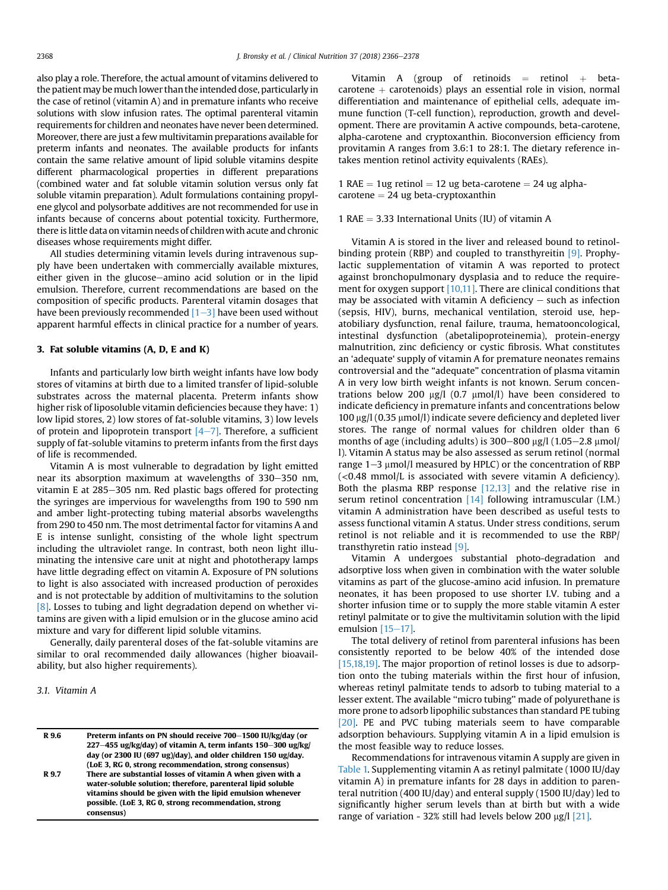also play a role. Therefore, the actual amount of vitamins delivered to the patient may be much lower than the intended dose, particularly in the case of retinol (vitamin A) and in premature infants who receive solutions with slow infusion rates. The optimal parenteral vitamin requirements for children and neonates have never been determined. Moreover, there are just a few multivitamin preparations available for preterm infants and neonates. The available products for infants contain the same relative amount of lipid soluble vitamins despite different pharmacological properties in different preparations (combined water and fat soluble vitamin solution versus only fat soluble vitamin preparation). Adult formulations containing propylene glycol and polysorbate additives are not recommended for use in infants because of concerns about potential toxicity. Furthermore, there is little data on vitamin needs of childrenwith acute and chronic diseases whose requirements might differ.

All studies determining vitamin levels during intravenous supply have been undertaken with commercially available mixtures, either given in the glucose-amino acid solution or in the lipid emulsion. Therefore, current recommendations are based on the composition of specific products. Parenteral vitamin dosages that have been previously recommended  $[1-3]$  $[1-3]$  $[1-3]$  have been used without apparent harmful effects in clinical practice for a number of years.

#### 3. Fat soluble vitamins (A, D, E and K)

Infants and particularly low birth weight infants have low body stores of vitamins at birth due to a limited transfer of lipid-soluble substrates across the maternal placenta. Preterm infants show higher risk of liposoluble vitamin deficiencies because they have: 1) low lipid stores, 2) low stores of fat-soluble vitamins, 3) low levels of protein and lipoprotein transport  $[4-7]$  $[4-7]$  $[4-7]$ . Therefore, a sufficient supply of fat-soluble vitamins to preterm infants from the first days of life is recommended.

Vitamin A is most vulnerable to degradation by light emitted near its absorption maximum at wavelengths of 330-350 nm, vitamin E at 285-305 nm. Red plastic bags offered for protecting the syringes are impervious for wavelengths from 190 to 590 nm and amber light-protecting tubing material absorbs wavelengths from 290 to 450 nm. The most detrimental factor for vitamins A and E is intense sunlight, consisting of the whole light spectrum including the ultraviolet range. In contrast, both neon light illuminating the intensive care unit at night and phototherapy lamps have little degrading effect on vitamin A. Exposure of PN solutions to light is also associated with increased production of peroxides and is not protectable by addition of multivitamins to the solution [\[8\]](#page-10-0). Losses to tubing and light degradation depend on whether vitamins are given with a lipid emulsion or in the glucose amino acid mixture and vary for different lipid soluble vitamins.

Generally, daily parenteral doses of the fat-soluble vitamins are similar to oral recommended daily allowances (higher bioavailability, but also higher requirements).

# 3.1. Vitamin A

| R 9.6 | Preterm infants on PN should receive 700-1500 IU/kg/day (or<br>227-455 ug/kg/day) of vitamin A, term infants 150-300 ug/kg/                                                                                                                                    |
|-------|----------------------------------------------------------------------------------------------------------------------------------------------------------------------------------------------------------------------------------------------------------------|
|       | day (or 2300 IU (697 ug)/day), and older children 150 ug/day.                                                                                                                                                                                                  |
|       | (LoE 3, RG 0, strong recommendation, strong consensus)                                                                                                                                                                                                         |
| R 9.7 | There are substantial losses of vitamin A when given with a<br>water-soluble solution; therefore, parenteral lipid soluble<br>vitamins should be given with the lipid emulsion whenever<br>possible. (LoE 3, RG 0, strong recommendation, strong<br>consensus) |
|       |                                                                                                                                                                                                                                                                |

Vitamin A (group of retinoids  $=$  retinol  $+$  beta $c$ arotene  $+$  carotenoids) plays an essential role in vision, normal differentiation and maintenance of epithelial cells, adequate immune function (T-cell function), reproduction, growth and development. There are provitamin A active compounds, beta-carotene, alpha-carotene and cryptoxanthin. Bioconversion efficiency from provitamin A ranges from 3.6:1 to 28:1. The dietary reference intakes mention retinol activity equivalents (RAEs).

1 RAE  $= 1$ ug retinol  $= 12$  ug beta-carotene  $= 24$  ug alphacarotene  $= 24$  ug beta-cryptoxanthin

# 1 RAE  $=$  3.33 International Units (IU) of vitamin A

Vitamin A is stored in the liver and released bound to retinolbinding protein (RBP) and coupled to transthyreitin [\[9\]](#page-10-0). Prophylactic supplementation of vitamin A was reported to protect against bronchopulmonary dysplasia and to reduce the requirement for oxygen support [\[10,11\].](#page-10-0) There are clinical conditions that may be associated with vitamin A deficiency  $-$  such as infection (sepsis, HIV), burns, mechanical ventilation, steroid use, hepatobiliary dysfunction, renal failure, trauma, hematooncological, intestinal dysfunction (abetalipoproteinemia), protein-energy malnutrition, zinc deficiency or cystic fibrosis. What constitutes an 'adequate' supply of vitamin A for premature neonates remains controversial and the "adequate" concentration of plasma vitamin A in very low birth weight infants is not known. Serum concentrations below 200  $\mu$ g/l (0.7  $\mu$ mol/l) have been considered to indicate deficiency in premature infants and concentrations below  $100 \mu g/l$  (0.35  $\mu$ mol/l) indicate severe deficiency and depleted liver stores. The range of normal values for children older than 6 months of age (including adults) is  $300-800 \,\mu$ g/l (1.05-2.8  $\mu$ mol/ l). Vitamin A status may be also assessed as serum retinol (normal range  $1-3$  µmol/l measured by HPLC) or the concentration of RBP  $\langle$  <0.48 mmol/L is associated with severe vitamin A deficiency). Both the plasma RBP response  $[12,13]$  and the relative rise in serum retinol concentration  $[14]$  following intramuscular (I.M.) vitamin A administration have been described as useful tests to assess functional vitamin A status. Under stress conditions, serum retinol is not reliable and it is recommended to use the RBP/ transthyretin ratio instead [\[9\].](#page-10-0)

Vitamin A undergoes substantial photo-degradation and adsorptive loss when given in combination with the water soluble vitamins as part of the glucose-amino acid infusion. In premature neonates, it has been proposed to use shorter I.V. tubing and a shorter infusion time or to supply the more stable vitamin A ester retinyl palmitate or to give the multivitamin solution with the lipid emulsion  $[15-17]$  $[15-17]$  $[15-17]$ .

The total delivery of retinol from parenteral infusions has been consistently reported to be below 40% of the intended dose [\[15,18,19\]](#page-10-0). The major proportion of retinol losses is due to adsorption onto the tubing materials within the first hour of infusion, whereas retinyl palmitate tends to adsorb to tubing material to a lesser extent. The available ''micro tubing'' made of polyurethane is more prone to adsorb lipophilic substances than standard PE tubing [\[20\]](#page-10-0). PE and PVC tubing materials seem to have comparable adsorption behaviours. Supplying vitamin A in a lipid emulsion is the most feasible way to reduce losses.

Recommendations for intravenous vitamin A supply are given in [Table 1.](#page-3-0) Supplementing vitamin A as retinyl palmitate (1000 IU/day vitamin A) in premature infants for 28 days in addition to parenteral nutrition (400 IU/day) and enteral supply (1500 IU/day) led to significantly higher serum levels than at birth but with a wide range of variation - 32% still had levels below 200  $\mu$ g/l [\[21\].](#page-10-0)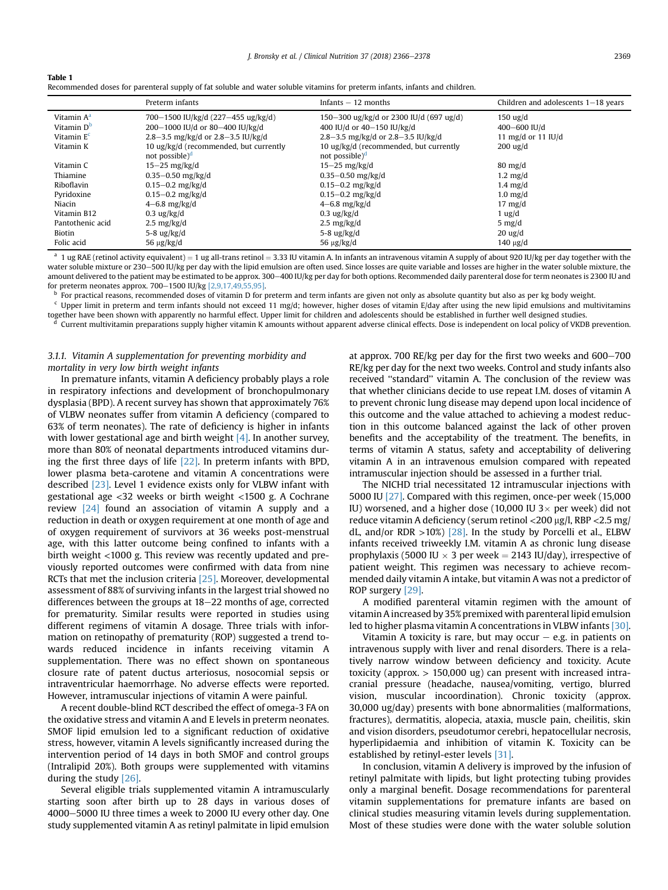<span id="page-3-0"></span>

| æл |  |
|----|--|
|----|--|

| Recommended doses for parenteral supply of fat soluble and water soluble vitamins for preterm infants, infants and children. |  |
|------------------------------------------------------------------------------------------------------------------------------|--|
|------------------------------------------------------------------------------------------------------------------------------|--|

|                        | Preterm infants                        | Infants $-12$ months                    | Children and adolescents $1-18$ years |
|------------------------|----------------------------------------|-----------------------------------------|---------------------------------------|
| Vitamin A <sup>a</sup> | 700-1500 IU/kg/d (227-455 ug/kg/d)     | 150-300 ug/kg/d or 2300 IU/d (697 ug/d) | $150 \text{ ug/d}$                    |
| Vitamin D <sup>b</sup> | 200-1000 IU/d or 80-400 IU/kg/d        | 400 IU/d or 40-150 IU/kg/d              | 400 $-600$ IU/d                       |
| Vitamin E <sup>c</sup> | 2.8-3.5 mg/kg/d or 2.8-3.5 IU/kg/d     | 2.8-3.5 mg/kg/d or 2.8-3.5 IU/kg/d      | 11 mg/d or 11 $IU/d$                  |
| Vitamin K              | 10 ug/kg/d (recommended, but currently | 10 ug/kg/d (recommended, but currently  | $200 \text{ ug/d}$                    |
|                        | not possible) <sup>d</sup>             | not possible) $d$                       |                                       |
| Vitamin C              | $15-25$ mg/kg/d                        | $15-25$ mg/kg/d                         | $80 \text{ mg/d}$                     |
| Thiamine               | $0.35 - 0.50$ mg/kg/d                  | $0.35 - 0.50$ mg/kg/d                   | $1.2 \text{ mg/d}$                    |
| Riboflavin             | $0.15 - 0.2$ mg/kg/d                   | $0.15 - 0.2$ mg/kg/d                    | $1.4 \text{ mg/d}$                    |
| Pyridoxine             | $0.15 - 0.2$ mg/kg/d                   | $0.15 - 0.2$ mg/kg/d                    | $1.0$ mg/d                            |
| Niacin                 | $4-6.8$ mg/kg/d                        | $4-6.8$ mg/kg/d                         | $17 \text{ mg/d}$                     |
| Vitamin B12            | $0.3$ ug/kg/d                          | $0.3$ ug/kg/d                           | $1$ ug/d                              |
| Pantothenic acid       | $2.5 \text{ mg/kg/d}$                  | $2.5 \text{ mg/kg/d}$                   | $5 \text{ mg/d}$                      |
| Biotin                 | 5-8 $\frac{u}{g}$ /kg/d                | $5-8$ ug/kg/d                           | $20 \text{ ug/d}$                     |
| Folic acid             | $56 \mu g/kg/d$                        | $56 \mu g/kg/d$                         | $140 \text{ µg}/d$                    |

 $a$  1 ug RAE (retinol activity equivalent) = 1 ug all-trans retinol = 3.33 IU vitamin A. In infants an intravenous vitamin A supply of about 920 IU/kg per day together with the water soluble mixture or 230–500 IU/kg per day with the lipid emulsion are often used. Since losses are quite variable and losses are higher in the water soluble mixture, the amount delivered to the patient may be estimated to be approx. 300-400 IU/kg per day for both options. Recommended daily parenteral dose for term neonates is 2300 IU and for preterm neonates approx. 700-1500 IU/kg  $[2,9,17,49,55,95]$ .

 $\frac{b}{c}$  For practical reasons, recommended doses of vitamin D for preterm and term infants are given not only as absolute quantity but also as per kg body weight.<br>C Unper limit in proterm and term infants should not ave

Upper limit in preterm and term infants should not exceed 11 mg/d; however, higher doses of vitamin E/day after using the new lipid emulsions and multivitamins

together have been shown with apparently no harmful effect. Upper limit for children and adolescents should be established in further well designed studies.

<sup>d</sup> Current multivitamin preparations supply higher vitamin K amounts without apparent adverse clinical effects. Dose is independent on local policy of VKDB prevention.

# 3.1.1. Vitamin A supplementation for preventing morbidity and mortality in very low birth weight infants

In premature infants, vitamin A deficiency probably plays a role in respiratory infections and development of bronchopulmonary dysplasia (BPD). A recent survey has shown that approximately 76% of VLBW neonates suffer from vitamin A deficiency (compared to 63% of term neonates). The rate of deficiency is higher in infants with lower gestational age and birth weight  $[4]$ . In another survey, more than 80% of neonatal departments introduced vitamins during the first three days of life [\[22\]](#page-10-0). In preterm infants with BPD, lower plasma beta-carotene and vitamin A concentrations were described [\[23\]](#page-10-0). Level 1 evidence exists only for VLBW infant with gestational age <32 weeks or birth weight <1500 g. A Cochrane review [\[24\]](#page-10-0) found an association of vitamin A supply and a reduction in death or oxygen requirement at one month of age and of oxygen requirement of survivors at 36 weeks post-menstrual age, with this latter outcome being confined to infants with a birth weight <1000 g. This review was recently updated and previously reported outcomes were confirmed with data from nine RCTs that met the inclusion criteria [\[25\].](#page-10-0) Moreover, developmental assessment of 88% of surviving infants in the largest trial showed no differences between the groups at  $18-22$  months of age, corrected for prematurity. Similar results were reported in studies using different regimens of vitamin A dosage. Three trials with information on retinopathy of prematurity (ROP) suggested a trend towards reduced incidence in infants receiving vitamin A supplementation. There was no effect shown on spontaneous closure rate of patent ductus arteriosus, nosocomial sepsis or intraventricular haemorrhage. No adverse effects were reported. However, intramuscular injections of vitamin A were painful.

A recent double-blind RCT described the effect of omega-3 FA on the oxidative stress and vitamin A and E levels in preterm neonates. SMOF lipid emulsion led to a significant reduction of oxidative stress, however, vitamin A levels significantly increased during the intervention period of 14 days in both SMOF and control groups (Intralipid 20%). Both groups were supplemented with vitamins during the study [\[26\].](#page-10-0)

Several eligible trials supplemented vitamin A intramuscularly starting soon after birth up to 28 days in various doses of 4000-5000 IU three times a week to 2000 IU every other day. One study supplemented vitamin A as retinyl palmitate in lipid emulsion

at approx. 700 RE/kg per day for the first two weeks and  $600-700$ RE/kg per day for the next two weeks. Control and study infants also received ''standard'' vitamin A. The conclusion of the review was that whether clinicians decide to use repeat I.M. doses of vitamin A to prevent chronic lung disease may depend upon local incidence of this outcome and the value attached to achieving a modest reduction in this outcome balanced against the lack of other proven benefits and the acceptability of the treatment. The benefits, in terms of vitamin A status, safety and acceptability of delivering vitamin A in an intravenous emulsion compared with repeated intramuscular injection should be assessed in a further trial.

The NICHD trial necessitated 12 intramuscular injections with 5000 IU [\[27\].](#page-10-0) Compared with this regimen, once-per week (15,000 IU) worsened, and a higher dose (10,000 IU 3 $\times$  per week) did not reduce vitamin A deficiency (serum retinol  $\langle 200 \,\mathrm{\upmu g/l}$ , RBP  $\langle 2.5 \,\mathrm{mg/}$ dL, and/or RDR  $>10\%$  [\[28\]](#page-10-0). In the study by Porcelli et al., ELBW infants received triweekly I.M. vitamin A as chronic lung disease prophylaxis (5000 IU  $\times$  3 per week = 2143 IU/day), irrespective of patient weight. This regimen was necessary to achieve recommended daily vitamin A intake, but vitamin A was not a predictor of ROP surgery [\[29\].](#page-10-0)

A modified parenteral vitamin regimen with the amount of vitamin A increased by 35% premixed with parenteral lipid emulsion led to higher plasma vitamin A concentrations in VLBW infants [\[30\].](#page-10-0)

Vitamin A toxicity is rare, but may occur  $-$  e.g. in patients on intravenous supply with liver and renal disorders. There is a relatively narrow window between deficiency and toxicity. Acute toxicity (approx. > 150,000 ug) can present with increased intracranial pressure (headache, nausea/vomiting, vertigo, blurred vision, muscular incoordination). Chronic toxicity (approx. 30,000 ug/day) presents with bone abnormalities (malformations, fractures), dermatitis, alopecia, ataxia, muscle pain, cheilitis, skin and vision disorders, pseudotumor cerebri, hepatocellular necrosis, hyperlipidaemia and inhibition of vitamin K. Toxicity can be established by retinyl-ester levels [\[31\]](#page-10-0).

In conclusion, vitamin A delivery is improved by the infusion of retinyl palmitate with lipids, but light protecting tubing provides only a marginal benefit. Dosage recommendations for parenteral vitamin supplementations for premature infants are based on clinical studies measuring vitamin levels during supplementation. Most of these studies were done with the water soluble solution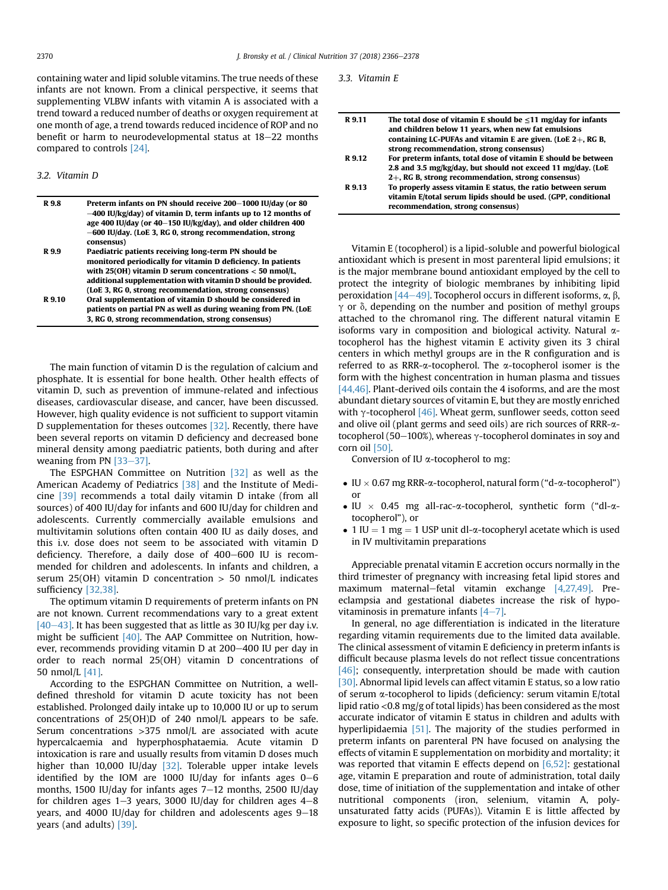containing water and lipid soluble vitamins. The true needs of these infants are not known. From a clinical perspective, it seems that supplementing VLBW infants with vitamin A is associated with a trend toward a reduced number of deaths or oxygen requirement at one month of age, a trend towards reduced incidence of ROP and no benefit or harm to neurodevelopmental status at  $18-22$  months compared to controls [\[24\]](#page-10-0).

# 3.2. Vitamin D

| R 9.8  | Preterm infants on PN should receive 200-1000 IU/day (or 80<br>$-400$ IU/kg/day) of vitamin D, term infants up to 12 months of<br>age 400 IU/day (or 40–150 IU/kg/day), and older children 400<br>-600 IU/day. (LoE 3, RG 0, strong recommendation, strong<br>consensus)                                    |
|--------|-------------------------------------------------------------------------------------------------------------------------------------------------------------------------------------------------------------------------------------------------------------------------------------------------------------|
| R 9.9  | Paediatric patients receiving long-term PN should be<br>monitored periodically for vitamin D deficiency. In patients<br>with $25(OH)$ vitamin D serum concentrations $<$ 50 nmol/L,                                                                                                                         |
| R 9.10 | additional supplementation with vitamin D should be provided.<br>(LoE 3, RG 0, strong recommendation, strong consensus)<br>Oral supplementation of vitamin D should be considered in<br>patients on partial PN as well as during weaning from PN. (LoE<br>3, RG 0, strong recommendation, strong consensus) |

The main function of vitamin D is the regulation of calcium and phosphate. It is essential for bone health. Other health effects of vitamin D, such as prevention of immune-related and infectious diseases, cardiovascular disease, and cancer, have been discussed. However, high quality evidence is not sufficient to support vitamin D supplementation for theses outcomes [\[32\].](#page-10-0) Recently, there have been several reports on vitamin D deficiency and decreased bone mineral density among paediatric patients, both during and after weaning from PN  $[33-37]$  $[33-37]$  $[33-37]$ .

The ESPGHAN Committee on Nutrition [\[32\]](#page-10-0) as well as the American Academy of Pediatrics [\[38\]](#page-10-0) and the Institute of Medicine [\[39\]](#page-10-0) recommends a total daily vitamin D intake (from all sources) of 400 IU/day for infants and 600 IU/day for children and adolescents. Currently commercially available emulsions and multivitamin solutions often contain 400 IU as daily doses, and this i.v. dose does not seem to be associated with vitamin D deficiency. Therefore, a daily dose of  $400-600$  IU is recommended for children and adolescents. In infants and children, a serum 25(OH) vitamin D concentration  $> 50$  nmol/L indicates sufficiency [\[32,38\].](#page-10-0)

The optimum vitamin D requirements of preterm infants on PN are not known. Current recommendations vary to a great extent  $[40-43]$  $[40-43]$ . It has been suggested that as little as 30 IU/kg per day i.v. might be sufficient [\[40\].](#page-10-0) The AAP Committee on Nutrition, however, recommends providing vitamin D at 200-400 IU per day in order to reach normal 25(OH) vitamin D concentrations of 50 nmol/L [\[41\].](#page-10-0)

According to the ESPGHAN Committee on Nutrition, a welldefined threshold for vitamin D acute toxicity has not been established. Prolonged daily intake up to 10,000 IU or up to serum concentrations of 25(OH)D of 240 nmol/L appears to be safe. Serum concentrations >375 nmol/L are associated with acute hypercalcaemia and hyperphosphataemia. Acute vitamin D intoxication is rare and usually results from vitamin D doses much higher than 10,000 IU/day [\[32\]](#page-10-0). Tolerable upper intake levels identified by the IOM are 1000 IU/day for infants ages  $0-6$ months, 1500 IU/day for infants ages  $7-12$  months, 2500 IU/day for children ages  $1-3$  years, 3000 IU/day for children ages  $4-8$ years, and 4000 IU/day for children and adolescents ages  $9-18$ years (and adults) [\[39\]](#page-10-0).

3.3. Vitamin E

| R 9.11 | The total dose of vitamin E should be $\leq$ 11 mg/day for infants                                                    |
|--------|-----------------------------------------------------------------------------------------------------------------------|
|        | and children below 11 years, when new fat emulsions<br>containing LC-PUFAs and vitamin E are given. (LoE $2+$ , RG B, |
|        | strong recommendation, strong consensus)                                                                              |
| R 9.12 | For preterm infants, total dose of vitamin E should be between                                                        |
|        | 2.8 and 3.5 mg/kg/day, but should not exceed 11 mg/day. (LoE                                                          |
|        | 2+, RG B, strong recommendation, strong consensus)                                                                    |
| R 9.13 | To properly assess vitamin E status, the ratio between serum                                                          |
|        | vitamin E/total serum lipids should be used. (GPP, conditional                                                        |
|        | recommendation, strong consensus)                                                                                     |

Vitamin E (tocopherol) is a lipid-soluble and powerful biological antioxidant which is present in most parenteral lipid emulsions; it is the major membrane bound antioxidant employed by the cell to protect the integrity of biologic membranes by inhibiting lipid peroxidation  $[44-49]$  $[44-49]$  $[44-49]$ . Tocopherol occurs in different isoforms,  $\alpha$ ,  $\beta$ ,  $\gamma$  or  $\delta$ , depending on the number and position of methyl groups attached to the chromanol ring. The different natural vitamin E isoforms vary in composition and biological activity. Natural  $\alpha$ tocopherol has the highest vitamin E activity given its 3 chiral centers in which methyl groups are in the R configuration and is referred to as RRR-a-tocopherol. The a-tocopherol isomer is the form with the highest concentration in human plasma and tissues [\[44,46\].](#page-10-0) Plant-derived oils contain the 4 isoforms, and are the most abundant dietary sources of vitamin E, but they are mostly enriched with  $\gamma$ -tocopherol [\[46\]](#page-10-0). Wheat germ, sunflower seeds, cotton seed and olive oil (plant germs and seed oils) are rich sources of RRR- $\alpha$ tocopherol (50-100%), whereas  $\gamma$ -tocopherol dominates in soy and corn oil [\[50\]](#page-10-0).

Conversion of IU a-tocopherol to mg:

- IU  $\times$  0.67 mg RRR- $\alpha$ -tocopherol, natural form ("d- $\alpha$ -tocopherol") or
- $\bullet$  IU  $\times$  0.45 mg all-rac- $\alpha$ -tocopherol, synthetic form ("dl- $\alpha$ tocopherol"), or
- 1 IU = 1 mg = 1 USP unit dl- $\alpha$ -tocopheryl acetate which is used in IV multivitamin preparations

Appreciable prenatal vitamin E accretion occurs normally in the third trimester of pregnancy with increasing fetal lipid stores and maximum maternal-fetal vitamin exchange [\[4,27,49\]](#page-9-0). Preeclampsia and gestational diabetes increase the risk of hypovitaminosis in premature infants  $[4-7]$  $[4-7]$  $[4-7]$ .

In general, no age differentiation is indicated in the literature regarding vitamin requirements due to the limited data available. The clinical assessment of vitamin E deficiency in preterm infants is difficult because plasma levels do not reflect tissue concentrations  $[46]$ ; consequently, interpretation should be made with caution [\[30\]](#page-10-0). Abnormal lipid levels can affect vitamin E status, so a low ratio of serum a-tocopherol to lipids (deficiency: serum vitamin E/total lipid ratio <0.8 mg/g of total lipids) has been considered as the most accurate indicator of vitamin E status in children and adults with hyperlipidaemia [\[51\]](#page-10-0). The majority of the studies performed in preterm infants on parenteral PN have focused on analysing the effects of vitamin E supplementation on morbidity and mortality; it was reported that vitamin E effects depend on  $[6,52]$ : gestational age, vitamin E preparation and route of administration, total daily dose, time of initiation of the supplementation and intake of other nutritional components (iron, selenium, vitamin A, polyunsaturated fatty acids (PUFAs)). Vitamin E is little affected by exposure to light, so specific protection of the infusion devices for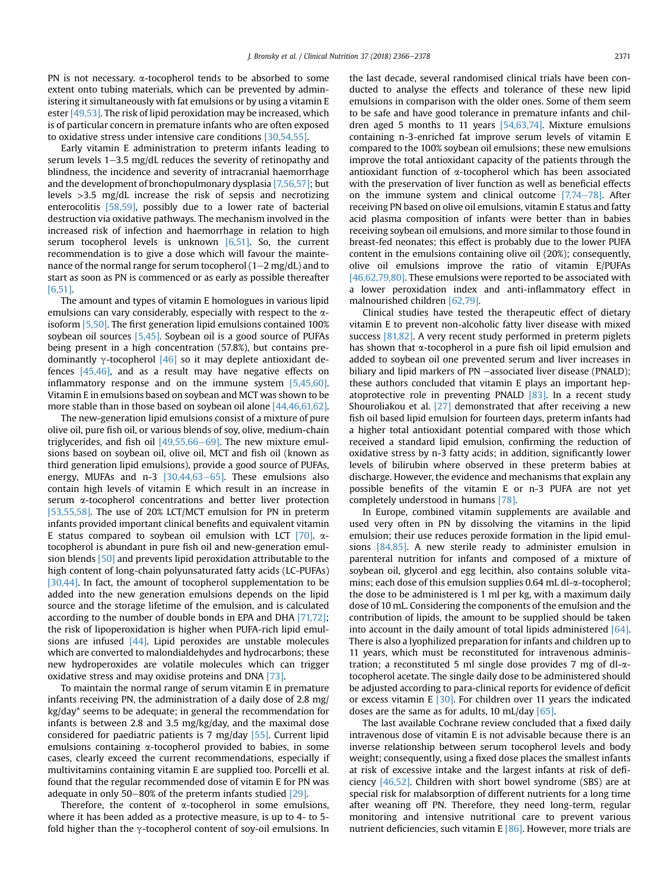PN is not necessary.  $\alpha$ -tocopherol tends to be absorbed to some extent onto tubing materials, which can be prevented by administering it simultaneously with fat emulsions or by using a vitamin E ester [\[49,53\].](#page-10-0) The risk of lipid peroxidation may be increased, which is of particular concern in premature infants who are often exposed to oxidative stress under intensive care conditions [\[30,54,55\].](#page-10-0)

Early vitamin E administration to preterm infants leading to serum levels  $1-3.5$  mg/dL reduces the severity of retinopathy and blindness, the incidence and severity of intracranial haemorrhage and the development of bronchopulmonary dysplasia [\[7,56,57\]](#page-10-0); but levels >3.5 mg/dL increase the risk of sepsis and necrotizing enterocolitis [\[58,59\],](#page-11-0) possibly due to a lower rate of bacterial destruction via oxidative pathways. The mechanism involved in the increased risk of infection and haemorrhage in relation to high serum tocopherol levels is unknown  $[6,51]$ . So, the current recommendation is to give a dose which will favour the maintenance of the normal range for serum tocopherol ( $1-2$  mg/dL) and to start as soon as PN is commenced or as early as possible thereafter [\[6,51\]](#page-10-0).

The amount and types of vitamin E homologues in various lipid emulsions can vary considerably, especially with respect to the  $\alpha$ isoform [\[5,50\].](#page-10-0) The first generation lipid emulsions contained 100% soybean oil sources [\[5,45\]](#page-10-0). Soybean oil is a good source of PUFAs being present in a high concentration (57.8%), but contains predominantly  $\gamma$ -tocopherol [\[46\]](#page-10-0) so it may deplete antioxidant defences [\[45,46\]](#page-10-0), and as a result may have negative effects on inflammatory response and on the immune system [\[5,45,60\].](#page-10-0) Vitamin E in emulsions based on soybean and MCT was shown to be more stable than in those based on soybean oil alone [\[44,46,61,62\].](#page-10-0)

The new-generation lipid emulsions consist of a mixture of pure olive oil, pure fish oil, or various blends of soy, olive, medium-chain triglycerides, and fish oil  $[49,55,66-69]$  $[49,55,66-69]$ . The new mixture emulsions based on soybean oil, olive oil, MCT and fish oil (known as third generation lipid emulsions), provide a good source of PUFAs, energy, MUFAs and n-3  $[30,44,63-65]$  $[30,44,63-65]$ . These emulsions also contain high levels of vitamin E which result in an increase in serum a-tocopherol concentrations and better liver protection [\[53,55,58\].](#page-10-0) The use of 20% LCT/MCT emulsion for PN in preterm infants provided important clinical benefits and equivalent vitamin E status compared to soybean oil emulsion with LCT  $[70]$ .  $\alpha$ tocopherol is abundant in pure fish oil and new-generation emulsion blends [\[50\]](#page-10-0) and prevents lipid peroxidation attributable to the high content of long-chain polyunsaturated fatty acids (LC-PUFAs) [\[30,44\]](#page-10-0). In fact, the amount of tocopherol supplementation to be added into the new generation emulsions depends on the lipid source and the storage lifetime of the emulsion, and is calculated according to the number of double bonds in EPA and DHA [\[71,72\];](#page-11-0) the risk of lipoperoxidation is higher when PUFA-rich lipid emulsions are infused  $[44]$ . Lipid peroxides are unstable molecules which are converted to malondialdehydes and hydrocarbons; these new hydroperoxides are volatile molecules which can trigger oxidative stress and may oxidise proteins and DNA [\[73\].](#page-11-0)

To maintain the normal range of serum vitamin E in premature infants receiving PN, the administration of a daily dose of 2.8 mg/ kg/day\* seems to be adequate; in general the recommendation for infants is between 2.8 and 3.5 mg/kg/day, and the maximal dose considered for paediatric patients is 7 mg/day [\[55\]](#page-10-0). Current lipid emulsions containing a-tocopherol provided to babies, in some cases, clearly exceed the current recommendations, especially if multivitamins containing vitamin E are supplied too. Porcelli et al. found that the regular recommended dose of vitamin E for PN was adequate in only 50–80% of the preterm infants studied  $[29]$ .

Therefore, the content of  $\alpha$ -tocopherol in some emulsions, where it has been added as a protective measure, is up to 4- to 5 fold higher than the  $\gamma$ -tocopherol content of soy-oil emulsions. In the last decade, several randomised clinical trials have been conducted to analyse the effects and tolerance of these new lipid emulsions in comparison with the older ones. Some of them seem to be safe and have good tolerance in premature infants and children aged 5 months to 11 years [\[54,63,74\].](#page-10-0) Mixture emulsions containing n-3-enriched fat improve serum levels of vitamin E compared to the 100% soybean oil emulsions; these new emulsions improve the total antioxidant capacity of the patients through the antioxidant function of a-tocopherol which has been associated with the preservation of liver function as well as beneficial effects on the immune system and clinical outcome  $[7,74-78]$  $[7,74-78]$ . After receiving PN based on olive oil emulsions, vitamin E status and fatty acid plasma composition of infants were better than in babies receiving soybean oil emulsions, and more similar to those found in breast-fed neonates; this effect is probably due to the lower PUFA content in the emulsions containing olive oil (20%); consequently, olive oil emulsions improve the ratio of vitamin E/PUFAs [\[46,62,79,80\]](#page-10-0). These emulsions were reported to be associated with a lower peroxidation index and anti-inflammatory effect in malnourished children [\[62,79\].](#page-11-0)

Clinical studies have tested the therapeutic effect of dietary vitamin E to prevent non-alcoholic fatty liver disease with mixed success [\[81,82\]](#page-11-0). A very recent study performed in preterm piglets has shown that  $\alpha$ -tocopherol in a pure fish oil lipid emulsion and added to soybean oil one prevented serum and liver increases in biliary and lipid markers of PN -associated liver disease (PNALD); these authors concluded that vitamin E plays an important hepatoprotective role in preventing PNALD [\[83\].](#page-11-0) In a recent study Shouroliakou et al. [\[27\]](#page-10-0) demonstrated that after receiving a new fish oil based lipid emulsion for fourteen days, preterm infants had a higher total antioxidant potential compared with those which received a standard lipid emulsion, confirming the reduction of oxidative stress by n-3 fatty acids; in addition, significantly lower levels of bilirubin where observed in these preterm babies at discharge. However, the evidence and mechanisms that explain any possible benefits of the vitamin E or n-3 PUFA are not yet completely understood in humans [\[78\].](#page-11-0)

In Europe, combined vitamin supplements are available and used very often in PN by dissolving the vitamins in the lipid emulsion; their use reduces peroxide formation in the lipid emulsions [\[84,85\].](#page-11-0) A new sterile ready to administer emulsion in parenteral nutrition for infants and composed of a mixture of soybean oil, glycerol and egg lecithin, also contains soluble vitamins; each dose of this emulsion supplies 0.64 mL dl- $\alpha$ -tocopherol; the dose to be administered is 1 ml per kg, with a maximum daily dose of 10 mL. Considering the components of the emulsion and the contribution of lipids, the amount to be supplied should be taken into account in the daily amount of total lipids administered [\[64\].](#page-11-0) There is also a lyophilized preparation for infants and children up to 11 years, which must be reconstituted for intravenous administration; a reconstituted 5 ml single dose provides 7 mg of dl- $\alpha$ tocopherol acetate. The single daily dose to be administered should be adjusted according to para-clinical reports for evidence of deficit or excess vitamin E  $[30]$ . For children over 11 years the indicated doses are the same as for adults, 10 mL/day  $[65]$ .

The last available Cochrane review concluded that a fixed daily intravenous dose of vitamin E is not advisable because there is an inverse relationship between serum tocopherol levels and body weight; consequently, using a fixed dose places the smallest infants at risk of excessive intake and the largest infants at risk of deficiency [\[46,52\]](#page-10-0). Children with short bowel syndrome (SBS) are at special risk for malabsorption of different nutrients for a long time after weaning off PN. Therefore, they need long-term, regular monitoring and intensive nutritional care to prevent various nutrient deficiencies, such vitamin E  $[86]$ . However, more trials are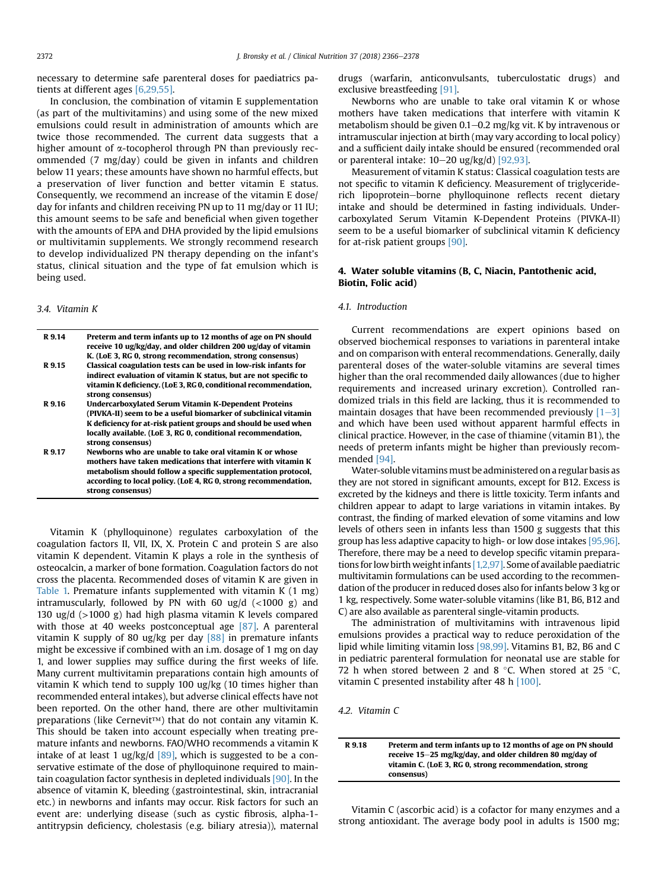necessary to determine safe parenteral doses for paediatrics patients at different ages [\[6,29,55\].](#page-10-0)

In conclusion, the combination of vitamin E supplementation (as part of the multivitamins) and using some of the new mixed emulsions could result in administration of amounts which are twice those recommended. The current data suggests that a higher amount of  $\alpha$ -tocopherol through PN than previously recommended (7 mg/day) could be given in infants and children below 11 years; these amounts have shown no harmful effects, but a preservation of liver function and better vitamin E status. Consequently, we recommend an increase of the vitamin E dose/ day for infants and children receiving PN up to 11 mg/day or 11 IU; this amount seems to be safe and beneficial when given together with the amounts of EPA and DHA provided by the lipid emulsions or multivitamin supplements. We strongly recommend research to develop individualized PN therapy depending on the infant's status, clinical situation and the type of fat emulsion which is being used.

#### 3.4. Vitamin K

| R 9.14 | Preterm and term infants up to 12 months of age on PN should<br>receive 10 ug/kg/day, and older children 200 ug/day of vitamin<br>K. (LoE 3, RG 0, strong recommendation, strong consensus)                                                                                            |
|--------|----------------------------------------------------------------------------------------------------------------------------------------------------------------------------------------------------------------------------------------------------------------------------------------|
| R 9.15 | Classical coagulation tests can be used in low-risk infants for<br>indirect evaluation of vitamin K status, but are not specific to<br>vitamin K deficiency. (LoE 3, RG 0, conditional recommendation,<br>strong consensus)                                                            |
| R 9.16 | <b>Undercarboxylated Serum Vitamin K-Dependent Proteins</b><br>(PIVKA-II) seem to be a useful biomarker of subclinical vitamin<br>K deficiency for at-risk patient groups and should be used when<br>locally available. (LoE 3, RG 0, conditional recommendation,<br>strong consensus) |
| R 9.17 | Newborns who are unable to take oral vitamin K or whose<br>mothers have taken medications that interfere with vitamin K<br>metabolism should follow a specific supplementation protocol,<br>according to local policy. (LoE 4, RG 0, strong recommendation,<br>strong consensus)       |

Vitamin K (phylloquinone) regulates carboxylation of the coagulation factors II, VII, IX, X. Protein C and protein S are also vitamin K dependent. Vitamin K plays a role in the synthesis of osteocalcin, a marker of bone formation. Coagulation factors do not cross the placenta. Recommended doses of vitamin K are given in [Table 1.](#page-3-0) Premature infants supplemented with vitamin K (1 mg) intramuscularly, followed by PN with 60 ug/d  $\left($  <1000 g) and 130 ug/d (>1000 g) had high plasma vitamin K levels compared with those at 40 weeks postconceptual age [\[87\].](#page-11-0) A parenteral vitamin K supply of 80 ug/kg per day  $[88]$  in premature infants might be excessive if combined with an i.m. dosage of 1 mg on day 1, and lower supplies may suffice during the first weeks of life. Many current multivitamin preparations contain high amounts of vitamin K which tend to supply 100 ug/kg (10 times higher than recommended enteral intakes), but adverse clinical effects have not been reported. On the other hand, there are other multivitamin preparations (like Cernevit™) that do not contain any vitamin K. This should be taken into account especially when treating premature infants and newborns. FAO/WHO recommends a vitamin K intake of at least 1 ug/kg/d  $[89]$ , which is suggested to be a conservative estimate of the dose of phylloquinone required to maintain coagulation factor synthesis in depleted individuals [\[90\]](#page-11-0). In the absence of vitamin K, bleeding (gastrointestinal, skin, intracranial etc.) in newborns and infants may occur. Risk factors for such an event are: underlying disease (such as cystic fibrosis, alpha-1 antitrypsin deficiency, cholestasis (e.g. biliary atresia)), maternal drugs (warfarin, anticonvulsants, tuberculostatic drugs) and exclusive breastfeeding [\[91\].](#page-11-0)

Newborns who are unable to take oral vitamin K or whose mothers have taken medications that interfere with vitamin K metabolism should be given 0.1-0.2 mg/kg vit. K by intravenous or intramuscular injection at birth (may vary according to local policy) and a sufficient daily intake should be ensured (recommended oral or parenteral intake:  $10-20$  ug/kg/d) [\[92,93\]](#page-11-0).

Measurement of vitamin K status: Classical coagulation tests are not specific to vitamin K deficiency. Measurement of triglyceriderich lipoprotein-borne phylloquinone reflects recent dietary intake and should be determined in fasting individuals. Undercarboxylated Serum Vitamin K-Dependent Proteins (PIVKA-II) seem to be a useful biomarker of subclinical vitamin K deficiency for at-risk patient groups [\[90\]](#page-11-0).

# 4. Water soluble vitamins (B, C, Niacin, Pantothenic acid, Biotin, Folic acid)

# 4.1. Introduction

Current recommendations are expert opinions based on observed biochemical responses to variations in parenteral intake and on comparison with enteral recommendations. Generally, daily parenteral doses of the water-soluble vitamins are several times higher than the oral recommended daily allowances (due to higher requirements and increased urinary excretion). Controlled randomized trials in this field are lacking, thus it is recommended to maintain dosages that have been recommended previously  $[1-3]$  $[1-3]$  $[1-3]$ and which have been used without apparent harmful effects in clinical practice. However, in the case of thiamine (vitamin B1), the needs of preterm infants might be higher than previously recommended [\[94\].](#page-11-0)

Water-soluble vitamins must be administered on a regular basis as they are not stored in significant amounts, except for B12. Excess is excreted by the kidneys and there is little toxicity. Term infants and children appear to adapt to large variations in vitamin intakes. By contrast, the finding of marked elevation of some vitamins and low levels of others seen in infants less than 1500 g suggests that this group has less adaptive capacity to high- or low dose intakes [\[95,96\]](#page-11-0). Therefore, there may be a need to develop specific vitamin preparations for low birth weight infants  $[1,2,97]$ . Some of available paediatric multivitamin formulations can be used according to the recommendation of the producer in reduced doses also for infants below 3 kg or 1 kg, respectively. Some water-soluble vitamins (like B1, B6, B12 and C) are also available as parenteral single-vitamin products.

The administration of multivitamins with intravenous lipid emulsions provides a practical way to reduce peroxidation of the lipid while limiting vitamin loss [\[98,99\].](#page-11-0) Vitamins B1, B2, B6 and C in pediatric parenteral formulation for neonatal use are stable for 72 h when stored between 2 and 8  $\degree$ C. When stored at 25  $\degree$ C, vitamin C presented instability after 48 h [\[100\]](#page-11-0).

4.2. Vitamin C

R 9.18 Preterm and term infants up to 12 months of age on PN should receive 15-25 mg/kg/day, and older children 80 mg/day of vitamin C. (LoE 3, RG 0, strong recommendation, strong consensus)

Vitamin C (ascorbic acid) is a cofactor for many enzymes and a strong antioxidant. The average body pool in adults is 1500 mg;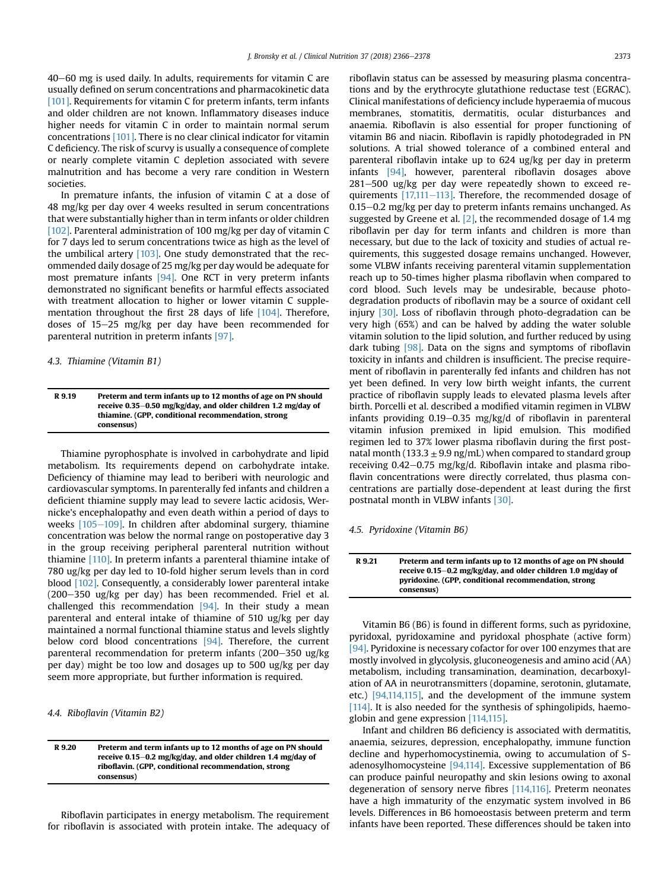$40-60$  mg is used daily. In adults, requirements for vitamin C are usually defined on serum concentrations and pharmacokinetic data [\[101\].](#page-11-0) Requirements for vitamin C for preterm infants, term infants and older children are not known. Inflammatory diseases induce higher needs for vitamin C in order to maintain normal serum concentrations [\[101\].](#page-11-0) There is no clear clinical indicator for vitamin C deficiency. The risk of scurvy is usually a consequence of complete or nearly complete vitamin C depletion associated with severe malnutrition and has become a very rare condition in Western societies.

In premature infants, the infusion of vitamin C at a dose of 48 mg/kg per day over 4 weeks resulted in serum concentrations that were substantially higher than in term infants or older children [\[102\]](#page-11-0). Parenteral administration of 100 mg/kg per day of vitamin C for 7 days led to serum concentrations twice as high as the level of the umbilical artery  $[103]$ . One study demonstrated that the recommended daily dosage of 25 mg/kg per day would be adequate for most premature infants [\[94\].](#page-11-0) One RCT in very preterm infants demonstrated no significant benefits or harmful effects associated with treatment allocation to higher or lower vitamin C supplementation throughout the first 28 days of life [\[104\]](#page-11-0). Therefore, doses of  $15-25$  mg/kg per day have been recommended for parenteral nutrition in preterm infants [\[97\].](#page-11-0)

4.3. Thiamine (Vitamin B1)

R 9.19 Preterm and term infants up to 12 months of age on PN should receive 0.35-0.50 mg/kg/day, and older children 1.2 mg/day of thiamine. (GPP, conditional recommendation, strong consensus)

Thiamine pyrophosphate is involved in carbohydrate and lipid metabolism. Its requirements depend on carbohydrate intake. Deficiency of thiamine may lead to beriberi with neurologic and cardiovascular symptoms. In parenterally fed infants and children a deficient thiamine supply may lead to severe lactic acidosis, Wernicke's encephalopathy and even death within a period of days to weeks  $[105-109]$  $[105-109]$  $[105-109]$ . In children after abdominal surgery, thiamine concentration was below the normal range on postoperative day 3 in the group receiving peripheral parenteral nutrition without thiamine [\[110\].](#page-11-0) In preterm infants a parenteral thiamine intake of 780 ug/kg per day led to 10-fold higher serum levels than in cord blood [\[102\]](#page-11-0). Consequently, a considerably lower parenteral intake  $(200-350 \text{ ug/kg}$  per day) has been recommended. Friel et al. challenged this recommendation  $[94]$ . In their study a mean parenteral and enteral intake of thiamine of 510 ug/kg per day maintained a normal functional thiamine status and levels slightly below cord blood concentrations [\[94\].](#page-11-0) Therefore, the current parenteral recommendation for preterm infants  $(200-350 \text{ ug/kg})$ per day) might be too low and dosages up to 500 ug/kg per day seem more appropriate, but further information is required.

4.4. Riboflavin (Vitamin B2)

R 9.20 Preterm and term infants up to 12 months of age on PN should receive 0.15-0.2 mg/kg/day, and older children 1.4 mg/day of riboflavin. (GPP, conditional recommendation, strong consensus)

Riboflavin participates in energy metabolism. The requirement for riboflavin is associated with protein intake. The adequacy of riboflavin status can be assessed by measuring plasma concentrations and by the erythrocyte glutathione reductase test (EGRAC). Clinical manifestations of deficiency include hyperaemia of mucous membranes, stomatitis, dermatitis, ocular disturbances and anaemia. Riboflavin is also essential for proper functioning of vitamin B6 and niacin. Riboflavin is rapidly photodegraded in PN solutions. A trial showed tolerance of a combined enteral and parenteral riboflavin intake up to 624 ug/kg per day in preterm infants [\[94\],](#page-11-0) however, parenteral riboflavin dosages above  $281-500$  ug/kg per day were repeatedly shown to exceed requirements  $[17,111-113]$  $[17,111-113]$  $[17,111-113]$ . Therefore, the recommended dosage of  $0.15-0.2$  mg/kg per day to preterm infants remains unchanged. As suggested by Greene et al. [\[2\]](#page-9-0), the recommended dosage of 1.4 mg riboflavin per day for term infants and children is more than necessary, but due to the lack of toxicity and studies of actual requirements, this suggested dosage remains unchanged. However, some VLBW infants receiving parenteral vitamin supplementation reach up to 50-times higher plasma riboflavin when compared to cord blood. Such levels may be undesirable, because photodegradation products of riboflavin may be a source of oxidant cell injury [\[30\]](#page-10-0). Loss of riboflavin through photo-degradation can be very high (65%) and can be halved by adding the water soluble vitamin solution to the lipid solution, and further reduced by using dark tubing [\[98\].](#page-11-0) Data on the signs and symptoms of riboflavin toxicity in infants and children is insufficient. The precise requirement of riboflavin in parenterally fed infants and children has not yet been defined. In very low birth weight infants, the current practice of riboflavin supply leads to elevated plasma levels after birth. Porcelli et al. described a modified vitamin regimen in VLBW infants providing  $0.19-0.35$  mg/kg/d of riboflavin in parenteral vitamin infusion premixed in lipid emulsion. This modified regimen led to 37% lower plasma riboflavin during the first postnatal month (133.3  $\pm$  9.9 ng/mL) when compared to standard group receiving  $0.42-0.75$  mg/kg/d. Riboflavin intake and plasma riboflavin concentrations were directly correlated, thus plasma concentrations are partially dose-dependent at least during the first postnatal month in VLBW infants [\[30\].](#page-10-0)

4.5. Pyridoxine (Vitamin B6)

R 9.21 Preterm and term infants up to 12 months of age on PN should receive 0.15-0.2 mg/kg/day, and older children 1.0 mg/day of pyridoxine. (GPP, conditional recommendation, strong consensus)

Vitamin B6 (B6) is found in different forms, such as pyridoxine, pyridoxal, pyridoxamine and pyridoxal phosphate (active form) [\[94\].](#page-11-0) Pyridoxine is necessary cofactor for over 100 enzymes that are mostly involved in glycolysis, gluconeogenesis and amino acid (AA) metabolism, including transamination, deamination, decarboxylation of AA in neurotransmitters (dopamine, serotonin, glutamate, etc.) [\[94,114,115\],](#page-11-0) and the development of the immune system [\[114\]](#page-12-0). It is also needed for the synthesis of sphingolipids, haemoglobin and gene expression [\[114,115\].](#page-12-0)

Infant and children B6 deficiency is associated with dermatitis, anaemia, seizures, depression, encephalopathy, immune function decline and hyperhomocystinemia, owing to accumulation of Sadenosylhomocysteine [\[94,114\].](#page-11-0) Excessive supplementation of B6 can produce painful neuropathy and skin lesions owing to axonal degeneration of sensory nerve fibres [\[114,116\].](#page-12-0) Preterm neonates have a high immaturity of the enzymatic system involved in B6 levels. Differences in B6 homoeostasis between preterm and term infants have been reported. These differences should be taken into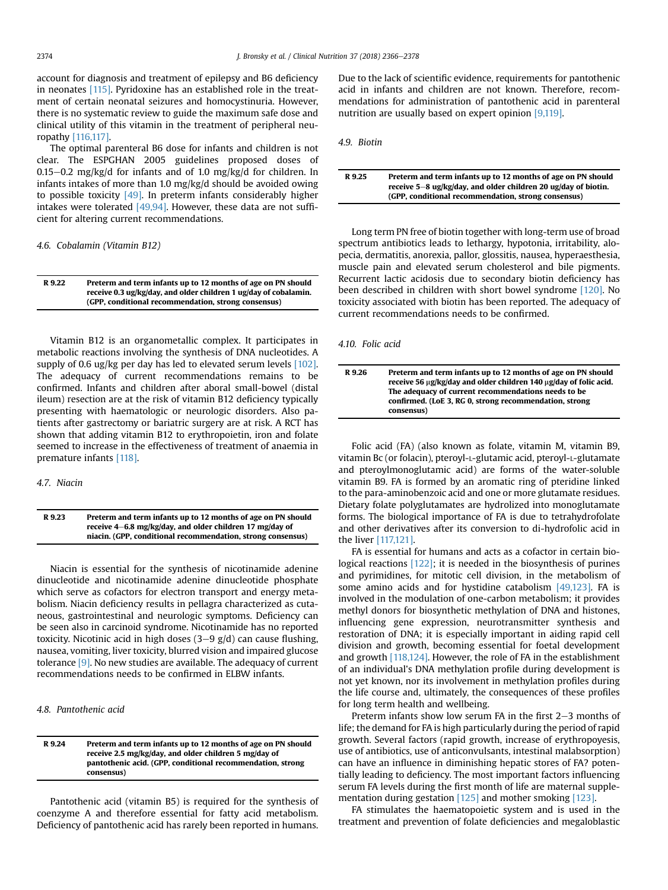account for diagnosis and treatment of epilepsy and B6 deficiency in neonates [\[115\].](#page-12-0) Pyridoxine has an established role in the treatment of certain neonatal seizures and homocystinuria. However, there is no systematic review to guide the maximum safe dose and clinical utility of this vitamin in the treatment of peripheral neuropathy [\[116,117\]](#page-12-0).

The optimal parenteral B6 dose for infants and children is not clear. The ESPGHAN 2005 guidelines proposed doses of  $0.15-0.2$  mg/kg/d for infants and of 1.0 mg/kg/d for children. In infants intakes of more than 1.0 mg/kg/d should be avoided owing to possible toxicity [\[49\]](#page-10-0). In preterm infants considerably higher intakes were tolerated [\[49,94\]](#page-10-0). However, these data are not sufficient for altering current recommendations.

4.6. Cobalamin (Vitamin B12)

| R 9.22 | Preterm and term infants up to 12 months of age on PN should     |
|--------|------------------------------------------------------------------|
|        | receive 0.3 ug/kg/day, and older children 1 ug/day of cobalamin. |
|        | (GPP, conditional recommendation, strong consensus)              |

Vitamin B12 is an organometallic complex. It participates in metabolic reactions involving the synthesis of DNA nucleotides. A supply of 0.6 ug/kg per day has led to elevated serum levels [\[102\].](#page-11-0) The adequacy of current recommendations remains to be confirmed. Infants and children after aboral small-bowel (distal ileum) resection are at the risk of vitamin B12 deficiency typically presenting with haematologic or neurologic disorders. Also patients after gastrectomy or bariatric surgery are at risk. A RCT has shown that adding vitamin B12 to erythropoietin, iron and folate seemed to increase in the effectiveness of treatment of anaemia in premature infants [\[118\]](#page-12-0).

4.7. Niacin

R 9.23 Preterm and term infants up to 12 months of age on PN should receive 4-6.8 mg/kg/day, and older children 17 mg/day of niacin. (GPP, conditional recommendation, strong consensus)

Niacin is essential for the synthesis of nicotinamide adenine dinucleotide and nicotinamide adenine dinucleotide phosphate which serve as cofactors for electron transport and energy metabolism. Niacin deficiency results in pellagra characterized as cutaneous, gastrointestinal and neurologic symptoms. Deficiency can be seen also in carcinoid syndrome. Nicotinamide has no reported toxicity. Nicotinic acid in high doses  $(3-9 \text{ g/d})$  can cause flushing, nausea, vomiting, liver toxicity, blurred vision and impaired glucose tolerance [\[9\]](#page-10-0). No new studies are available. The adequacy of current recommendations needs to be confirmed in ELBW infants.

4.8. Pantothenic acid

R 9.24 Preterm and term infants up to 12 months of age on PN should receive 2.5 mg/kg/day, and older children 5 mg/day of pantothenic acid. (GPP, conditional recommendation, strong consensus)

Pantothenic acid (vitamin B5) is required for the synthesis of coenzyme A and therefore essential for fatty acid metabolism. Deficiency of pantothenic acid has rarely been reported in humans. Due to the lack of scientific evidence, requirements for pantothenic acid in infants and children are not known. Therefore, recommendations for administration of pantothenic acid in parenteral nutrition are usually based on expert opinion [\[9,119\]](#page-10-0).

4.9. Biotin

| R 9.25 | Preterm and term infants up to 12 months of age on PN should     |
|--------|------------------------------------------------------------------|
|        | receive $5-8$ ug/kg/day, and older children 20 ug/day of biotin. |
|        | (GPP. conditional recommendation, strong consensus)              |

Long term PN free of biotin together with long-term use of broad spectrum antibiotics leads to lethargy, hypotonia, irritability, alopecia, dermatitis, anorexia, pallor, glossitis, nausea, hyperaesthesia, muscle pain and elevated serum cholesterol and bile pigments. Recurrent lactic acidosis due to secondary biotin deficiency has been described in children with short bowel syndrome [\[120\]](#page-12-0). No toxicity associated with biotin has been reported. The adequacy of current recommendations needs to be confirmed.

4.10. Folic acid

| R 9.26 | Preterm and term infants up to 12 months of age on PN should<br>receive 56 µg/kg/day and older children 140 µg/day of folic acid.<br>The adequacy of current recommendations needs to be<br>confirmed. (LoE 3, RG 0, strong recommendation, strong<br>consensus) |
|--------|------------------------------------------------------------------------------------------------------------------------------------------------------------------------------------------------------------------------------------------------------------------|
|--------|------------------------------------------------------------------------------------------------------------------------------------------------------------------------------------------------------------------------------------------------------------------|

Folic acid (FA) (also known as folate, vitamin M, vitamin B9, vitamin Bc (or folacin), pteroyl-L-glutamic acid, pteroyl-L-glutamate and pteroylmonoglutamic acid) are forms of the water-soluble vitamin B9. FA is formed by an aromatic ring of pteridine linked to the para-aminobenzoic acid and one or more glutamate residues. Dietary folate polyglutamates are hydrolized into monoglutamate forms. The biological importance of FA is due to tetrahydrofolate and other derivatives after its conversion to di-hydrofolic acid in the liver [\[117,121\].](#page-12-0)

FA is essential for humans and acts as a cofactor in certain biological reactions [\[122\]](#page-12-0); it is needed in the biosynthesis of purines and pyrimidines, for mitotic cell division, in the metabolism of some amino acids and for hystidine catabolism [\[49,123\].](#page-10-0) FA is involved in the modulation of one-carbon metabolism; it provides methyl donors for biosynthetic methylation of DNA and histones, influencing gene expression, neurotransmitter synthesis and restoration of DNA; it is especially important in aiding rapid cell division and growth, becoming essential for foetal development and growth [\[118,124\]](#page-12-0). However, the role of FA in the establishment of an individual's DNA methylation profile during development is not yet known, nor its involvement in methylation profiles during the life course and, ultimately, the consequences of these profiles for long term health and wellbeing.

Preterm infants show low serum FA in the first  $2-3$  months of life; the demand for FA is high particularly during the period of rapid growth. Several factors (rapid growth, increase of erythropoyesis, use of antibiotics, use of anticonvulsants, intestinal malabsorption) can have an influence in diminishing hepatic stores of FA? potentially leading to deficiency. The most important factors influencing serum FA levels during the first month of life are maternal supplementation during gestation [\[125\]](#page-12-0) and mother smoking [\[123\]](#page-12-0).

FA stimulates the haematopoietic system and is used in the treatment and prevention of folate deficiencies and megaloblastic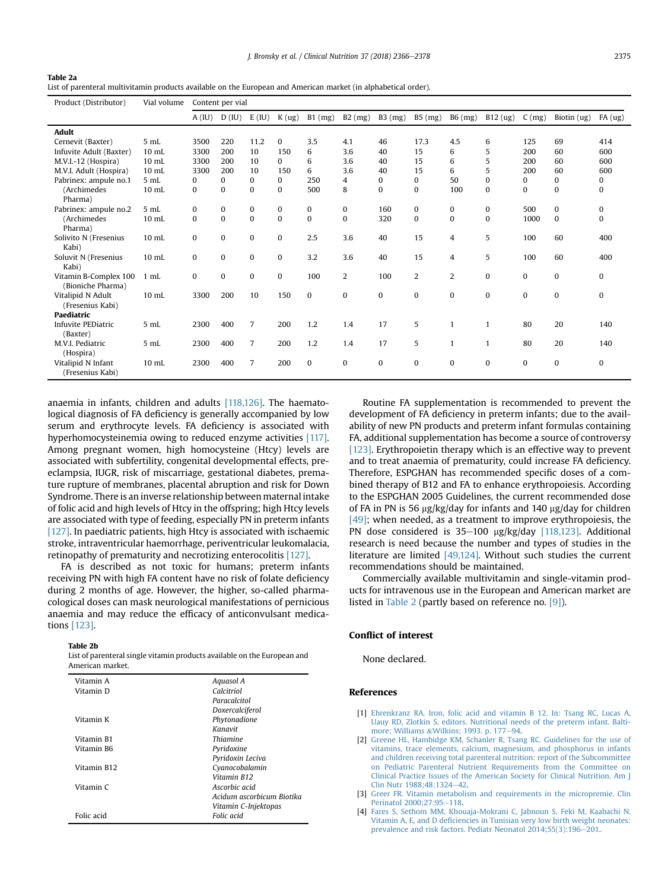<span id="page-9-0"></span>

| <b>Table 2a</b>                                                                                                 |
|-----------------------------------------------------------------------------------------------------------------|
| List of parenteral multivitamin products available on the European and American market (in alphabetical order). |

| Product (Distributor)                      | Vial volume     | Content per vial |              |                |          |              |              |              |                |                |              |              |              |              |
|--------------------------------------------|-----------------|------------------|--------------|----------------|----------|--------------|--------------|--------------|----------------|----------------|--------------|--------------|--------------|--------------|
|                                            |                 | A(IU)            | D(IU)        | $E$ (IU)       | K(ug)    | $B1$ (mg)    | $B2$ (mg)    | $B3$ (mg)    | B5 (mg)        | B6 (mg)        | B12(ug)      | C(mg)        | Biotin (ug)  | FA(ug)       |
| <b>Adult</b>                               |                 |                  |              |                |          |              |              |              |                |                |              |              |              |              |
| Cernevit (Baxter)                          | $5$ mL          | 3500             | 220          | 11.2           | 0        | 3.5          | 4.1          | 46           | 17.3           | 4.5            | 6            | 125          | 69           | 414          |
| Infuvite Adult (Baxter)                    | $10$ mL         | 3300             | 200          | 10             | 150      | 6            | 3.6          | 40           | 15             | 6              | 5            | 200          | 60           | 600          |
| M.V.I.-12 (Hospira)                        | $10$ mL         | 3300             | 200          | 10             | $\Omega$ | 6            | 3.6          | 40           | 15             | 6              | 5            | 200          | 60           | 600          |
| M.V.I. Adult (Hospira)                     | $10$ mL         | 3300             | 200          | 10             | 150      | 6            | 3.6          | 40           | 15             | 6              | 5            | 200          | 60           | 600          |
| Pabrinex: ampule no.1                      | 5 mL            | 0                | $\Omega$     | $\mathbf{0}$   | $\Omega$ | 250          | 4            | 0            | $\Omega$       | 50             | 0            | $\Omega$     | 0            | 0            |
| (Archimedes<br>Pharma)                     | $10$ mL         | $\bf{0}$         | $\bf{0}$     | $\bf{0}$       | $\bf{0}$ | 500          | 8            | $\mathbf{0}$ | $\mathbf{0}$   | 100            | $\mathbf{0}$ | $\bf{0}$     | $\mathbf{0}$ | $\mathbf{0}$ |
| Pabrinex: ampule no.2                      | 5 mL            | $\bf{0}$         | $\bf{0}$     | $\mathbf{0}$   | 0        | $\mathbf{0}$ | $\mathbf{0}$ | 160          | $\mathbf{0}$   | $\mathbf{0}$   | 0            | 500          | 0            | 0            |
| (Archimedes<br>Pharma)                     | $10$ mL         | $\bf{0}$         | $\bf{0}$     | $\Omega$       | $\theta$ | $\Omega$     | $\mathbf{0}$ | 320          | $\mathbf{0}$   | $\mathbf{0}$   | $\mathbf{0}$ | 1000         | $\mathbf{0}$ | 0            |
| Solivito N (Fresenius<br>Kabi)             | $10$ mL         | 0                | $\mathbf{0}$ | $\mathbf{0}$   | $\bf{0}$ | 2.5          | 3.6          | 40           | 15             | 4              | 5            | 100          | 60           | 400          |
| Soluvit N (Fresenius<br>Kabi)              | $10$ mL         | 0                | $\mathbf{0}$ | $\mathbf{0}$   | $\bf{0}$ | 3.2          | 3.6          | 40           | 15             | 4              | 5            | 100          | 60           | 400          |
| Vitamin B-Complex 100<br>(Bioniche Pharma) | $1$ mL          | $\bf{0}$         | $\mathbf{0}$ | $\mathbf{0}$   | $\bf{0}$ | 100          | 2            | 100          | $\overline{2}$ | $\overline{2}$ | $\mathbf{0}$ | $\mathbf{0}$ | $\mathbf{0}$ | $\Omega$     |
| Vitalipid N Adult<br>(Fresenius Kabi)      | $10$ mL         | 3300             | 200          | 10             | 150      | $\mathbf{0}$ | $\mathbf{0}$ | $\bf{0}$     | $\mathbf{0}$   | $\mathbf{0}$   | $\mathbf{0}$ | $\mathbf{0}$ | $\mathbf{0}$ | 0            |
| <b>Paediatric</b>                          |                 |                  |              |                |          |              |              |              |                |                |              |              |              |              |
| Infuvite PEDiatric<br>(Baxter)             | 5 <sub>mL</sub> | 2300             | 400          | 7              | 200      | 1.2          | 1.4          | 17           | 5              | $\mathbf{1}$   |              | 80           | 20           | 140          |
| M.V.I. Pediatric<br>(Hospira)              | 5 <sub>mL</sub> | 2300             | 400          | $\overline{7}$ | 200      | 1.2          | 1.4          | 17           | 5              | $\mathbf{1}$   | 1            | 80           | 20           | 140          |
| Vitalipid N Infant<br>(Fresenius Kabi)     | $10$ mL         | 2300             | 400          | $\overline{7}$ | 200      | $\Omega$     | $\mathbf{0}$ | $\bf{0}$     | $\mathbf{0}$   | $\Omega$       | $\mathbf{0}$ | $\mathbf{0}$ | $\mathbf{0}$ | $\mathbf{0}$ |

anaemia in infants, children and adults [\[118,126\]](#page-12-0). The haematological diagnosis of FA deficiency is generally accompanied by low serum and erythrocyte levels. FA deficiency is associated with hyperhomocysteinemia owing to reduced enzyme activities [\[117\].](#page-12-0) Among pregnant women, high homocysteine (Htcy) levels are associated with subfertility, congenital developmental effects, preeclampsia, IUGR, risk of miscarriage, gestational diabetes, premature rupture of membranes, placental abruption and risk for Down Syndrome. There is an inverse relationship between maternal intake of folic acid and high levels of Htcy in the offspring; high Htcy levels are associated with type of feeding, especially PN in preterm infants  $[127]$ . In paediatric patients, high Htcy is associated with ischaemic stroke, intraventricular haemorrhage, periventricular leukomalacia, retinopathy of prematurity and necrotizing enterocolitis [\[127\]](#page-12-0).

FA is described as not toxic for humans; preterm infants receiving PN with high FA content have no risk of folate deficiency during 2 months of age. However, the higher, so-called pharmacological doses can mask neurological manifestations of pernicious anaemia and may reduce the efficacy of anticonvulsant medications [\[123\]](#page-12-0).

#### Table 2b

| List of parenteral single vitamin products available on the European and |  |
|--------------------------------------------------------------------------|--|
| American market.                                                         |  |

| Vitamin A   | Aquasol A                 |
|-------------|---------------------------|
| Vitamin D   | Calcitriol                |
|             | Paracalcitol              |
|             | Doxercalciferol           |
| Vitamin K   | Phytonadione              |
|             | Kanavit                   |
| Vitamin B1  | Thiamine                  |
| Vitamin B6  | Pyridoxine                |
|             | Pyridoxin Leciva          |
| Vitamin B12 | Cyanocobalamin            |
|             | Vitamin R12               |
| Vitamin C   | Ascorbic acid             |
|             | Acidum ascorbicum Biotika |
|             | Vitamin C-Injektopas      |
| Folic acid  | Folic acid                |

Routine FA supplementation is recommended to prevent the development of FA deficiency in preterm infants; due to the availability of new PN products and preterm infant formulas containing FA, additional supplementation has become a source of controversy [\[123\]](#page-12-0). Erythropoietin therapy which is an effective way to prevent and to treat anaemia of prematurity, could increase FA deficiency. Therefore, ESPGHAN has recommended specific doses of a combined therapy of B12 and FA to enhance erythropoiesis. According to the ESPGHAN 2005 Guidelines, the current recommended dose of FA in PN is 56  $\mu$ g/kg/day for infants and 140  $\mu$ g/day for children [\[49\];](#page-10-0) when needed, as a treatment to improve erythropoiesis, the PN dose considered is  $35-100$  µg/kg/day [\[118,123\]](#page-12-0). Additional research is need because the number and types of studies in the literature are limited [\[49,124\].](#page-10-0) Without such studies the current recommendations should be maintained.

Commercially available multivitamin and single-vitamin products for intravenous use in the European and American market are listed in Table 2 (partly based on reference no. [\[9\]\)](#page-10-0).

## Conflict of interest

None declared.

# References

- [1] [Ehrenkranz RA. Iron, folic acid and vitamin B 12. In: Tsang RC, Lucas A,](http://refhub.elsevier.com/S0261-5614(18)31170-1/sref1) [Uauy RD, Zlotkin S, editors. Nutritional needs of the preterm infant. Balti](http://refhub.elsevier.com/S0261-5614(18)31170-1/sref1)[more: Williams](http://refhub.elsevier.com/S0261-5614(18)31170-1/sref1) &[Wilkins; 1993. p. 177](http://refhub.elsevier.com/S0261-5614(18)31170-1/sref1)-[94](http://refhub.elsevier.com/S0261-5614(18)31170-1/sref1).
- [2] [Greene HL, Hambidge KM, Schanler R, Tsang RC. Guidelines for the use of](http://refhub.elsevier.com/S0261-5614(18)31170-1/sref2) [vitamins, trace elements, calcium, magnesium, and phosphorus in infants](http://refhub.elsevier.com/S0261-5614(18)31170-1/sref2) [and children receiving total parenteral nutrition: report of the Subcommittee](http://refhub.elsevier.com/S0261-5614(18)31170-1/sref2) [on Pediatric Parenteral Nutrient Requirements from the Committee on](http://refhub.elsevier.com/S0261-5614(18)31170-1/sref2) [Clinical Practice Issues of the American Society for Clinical Nutrition. Am J](http://refhub.elsevier.com/S0261-5614(18)31170-1/sref2) [Clin Nutr 1988;48:1324](http://refhub.elsevier.com/S0261-5614(18)31170-1/sref2)-[42](http://refhub.elsevier.com/S0261-5614(18)31170-1/sref2).
- [3] [Greer FR. Vitamin metabolism and requirements in the micropremie. Clin](http://refhub.elsevier.com/S0261-5614(18)31170-1/sref3) Perinatol 2000:27:95-[118.](http://refhub.elsevier.com/S0261-5614(18)31170-1/sref3)
- [4] [Fares S, Sethom MM, Khouaja-Mokrani C, Jabnoun S, Feki M, Kaabachi N.](http://refhub.elsevier.com/S0261-5614(18)31170-1/sref4) Vitamin A, E, and D defi[ciencies in Tunisian very low birth weight neonates:](http://refhub.elsevier.com/S0261-5614(18)31170-1/sref4) [prevalence and risk factors. Pediatr Neonatol 2014;55\(3\):196](http://refhub.elsevier.com/S0261-5614(18)31170-1/sref4)-[201](http://refhub.elsevier.com/S0261-5614(18)31170-1/sref4).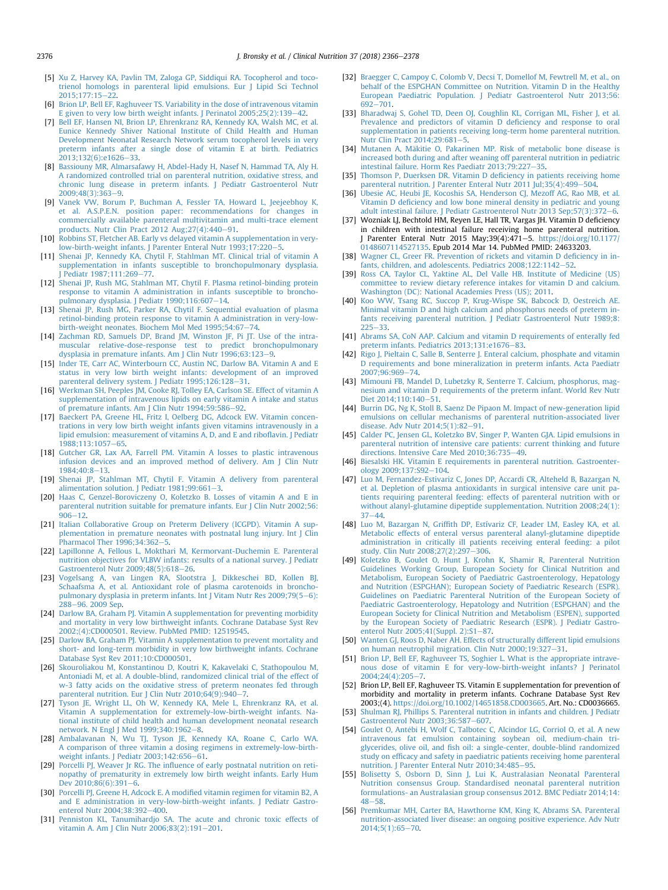- <span id="page-10-0"></span>[5] [Xu Z, Harvey KA, Pavlin TM, Zaloga GP, Siddiqui RA. Tocopherol and toco](http://refhub.elsevier.com/S0261-5614(18)31170-1/sref5)[trienol homologs in parenteral lipid emulsions. Eur J Lipid Sci Technol](http://refhub.elsevier.com/S0261-5614(18)31170-1/sref5) 2015:177:15-22
- [6] [Brion LP, Bell EF, Raghuveer TS. Variability in the dose of intravenous vitamin](http://refhub.elsevier.com/S0261-5614(18)31170-1/sref6) E given to very low birth weight infants. J Perinatol  $2005;25(2):139-42$ .
- [7] [Bell EF, Hansen NI, Brion LP, Ehrenkranz RA, Kennedy KA, Walsh MC, et al.](http://refhub.elsevier.com/S0261-5614(18)31170-1/sref7) [Eunice Kennedy Shiver National Institute of Child Health and Human](http://refhub.elsevier.com/S0261-5614(18)31170-1/sref7) [Development Neonatal Research Network serum tocopherol levels in very](http://refhub.elsevier.com/S0261-5614(18)31170-1/sref7) [preterm infants after a single dose of vitamin E at birth. Pediatrics](http://refhub.elsevier.com/S0261-5614(18)31170-1/sref7)  $2013;132(6):e1626-33.$  $2013;132(6):e1626-33.$  $2013;132(6):e1626-33.$  $2013;132(6):e1626-33.$
- [8] [Bassiouny MR, Almarsafawy H, Abdel-Hady H, Nasef N, Hammad TA, Aly H.](http://refhub.elsevier.com/S0261-5614(18)31170-1/sref8) [A randomized controlled trial on parenteral nutrition, oxidative stress, and](http://refhub.elsevier.com/S0261-5614(18)31170-1/sref8) [chronic lung disease in preterm infants. J Pediatr Gastroenterol Nutr](http://refhub.elsevier.com/S0261-5614(18)31170-1/sref8)  $2009.48(3)363 - 9$  $2009.48(3)363 - 9$  $2009.48(3)363 - 9$
- [9] [Vanek VW, Borum P, Buchman A, Fessler TA, Howard L, Jeejeebhoy K,](http://refhub.elsevier.com/S0261-5614(18)31170-1/sref9) [et al. A.S.P.E.N. position paper: recommendations for changes in](http://refhub.elsevier.com/S0261-5614(18)31170-1/sref9) [commercially available parenteral multivitamin and multi-trace element](http://refhub.elsevier.com/S0261-5614(18)31170-1/sref9) products. Nutr Clin Pract 2012 Aug;  $27(4)$ :  $440-91$ .
- [10] [Robbins ST, Fletcher AB. Early vs delayed vitamin A supplementation in very](http://refhub.elsevier.com/S0261-5614(18)31170-1/sref10) $low$ -birth-weight infants. J Parenter Enteral Nutr  $1993:17:220-5$ .
- [11] [Shenai JP, Kennedy KA, Chytil F, Stahlman MT. Clinical trial of vitamin A](http://refhub.elsevier.com/S0261-5614(18)31170-1/sref11) [supplementation in infants susceptible to bronchopulmonary dysplasia.](http://refhub.elsevier.com/S0261-5614(18)31170-1/sref11) I Pediatr 1987:111:269-[77.](http://refhub.elsevier.com/S0261-5614(18)31170-1/sref11)
- [12] [Shenai JP, Rush MG, Stahlman MT, Chytil F. Plasma retinol-binding protein](http://refhub.elsevier.com/S0261-5614(18)31170-1/sref12) [response to vitamin A administration in infants susceptible to broncho](http://refhub.elsevier.com/S0261-5614(18)31170-1/sref12)[pulmonary dysplasia. J Pediatr 1990;116:607](http://refhub.elsevier.com/S0261-5614(18)31170-1/sref12)-[14.](http://refhub.elsevier.com/S0261-5614(18)31170-1/sref12)
- [13] [Shenai JP, Rush MG, Parker RA, Chytil F. Sequential evaluation of plasma](http://refhub.elsevier.com/S0261-5614(18)31170-1/sref13) [retinol-binding protein response to vitamin A administration in very-low](http://refhub.elsevier.com/S0261-5614(18)31170-1/sref13)[birth-weight neonates. Biochem Mol Med 1995;54:67](http://refhub.elsevier.com/S0261-5614(18)31170-1/sref13)-[74](http://refhub.elsevier.com/S0261-5614(18)31170-1/sref13).
- [14] [Zachman RD, Samuels DP, Brand JM, Winston JF, Pi JT. Use of the intra](http://refhub.elsevier.com/S0261-5614(18)31170-1/sref14)[muscular relative-dose-response test to predict bronchopulmonary](http://refhub.elsevier.com/S0261-5614(18)31170-1/sref14) [dysplasia in premature infants. Am J Clin Nutr 1996;63:123](http://refhub.elsevier.com/S0261-5614(18)31170-1/sref14)-[9](http://refhub.elsevier.com/S0261-5614(18)31170-1/sref14).
- [15] [Inder TE, Carr AC, Winterbourn CC, Austin NC, Darlow BA. Vitamin A and E](http://refhub.elsevier.com/S0261-5614(18)31170-1/sref15) [status in very low birth weight infants: development of an improved](http://refhub.elsevier.com/S0261-5614(18)31170-1/sref15) [parenteral delivery system. J Pediatr 1995;126:128](http://refhub.elsevier.com/S0261-5614(18)31170-1/sref15)-[31](http://refhub.elsevier.com/S0261-5614(18)31170-1/sref15).
- [16] [Werkman SH, Peeples JM, Cooke RJ, Tolley EA, Carlson SE. Effect of vitamin A](http://refhub.elsevier.com/S0261-5614(18)31170-1/sref16) [supplementation of intravenous lipids on early vitamin A intake and status](http://refhub.elsevier.com/S0261-5614(18)31170-1/sref16) [of premature infants. Am J Clin Nutr 1994;59:586](http://refhub.elsevier.com/S0261-5614(18)31170-1/sref16)-[92.](http://refhub.elsevier.com/S0261-5614(18)31170-1/sref16)
- [17] [Baeckert PA, Greene HL, Fritz I, Oelberg DG, Adcock EW. Vitamin concen](http://refhub.elsevier.com/S0261-5614(18)31170-1/sref17)[trations in very low birth weight infants given vitamins intravenously in a](http://refhub.elsevier.com/S0261-5614(18)31170-1/sref17) [lipid emulsion: measurement of vitamins A, D, and E and ribo](http://refhub.elsevier.com/S0261-5614(18)31170-1/sref17)flavin. J Pediatr 1988:113:1057-[65.](http://refhub.elsevier.com/S0261-5614(18)31170-1/sref17)
- [18] [Gutcher GR, Lax AA, Farrell PM. Vitamin A losses to plastic intravenous](http://refhub.elsevier.com/S0261-5614(18)31170-1/sref18) [infusion devices and an improved method of delivery. Am J Clin Nutr](http://refhub.elsevier.com/S0261-5614(18)31170-1/sref18)  $1984:40:8-13.$  $1984:40:8-13.$  $1984:40:8-13.$
- [19] [Shenai JP, Stahlman MT, Chytil F. Vitamin A delivery from parenteral](http://refhub.elsevier.com/S0261-5614(18)31170-1/sref19) [alimentation solution. J Pediatr 1981;99:661](http://refhub.elsevier.com/S0261-5614(18)31170-1/sref19)-[3](http://refhub.elsevier.com/S0261-5614(18)31170-1/sref19).
- [20] [Haas C, Genzel-Boroviczeny O, Koletzko B. Losses of vitamin A and E in](http://refhub.elsevier.com/S0261-5614(18)31170-1/sref20) [parenteral nutrition suitable for premature infants. Eur J Clin Nutr 2002;56:](http://refhub.elsevier.com/S0261-5614(18)31170-1/sref20)  $906 - 12$  $906 - 12$
- [21] [Italian Collaborative Group on Preterm Delivery \(ICGPD\). Vitamin A sup](http://refhub.elsevier.com/S0261-5614(18)31170-1/sref21)[plementation in premature neonates with postnatal lung injury. Int J Clin](http://refhub.elsevier.com/S0261-5614(18)31170-1/sref21) Pharmacol Ther  $1996;34:362-5$  $1996;34:362-5$ .
- [22] [Lapillonne A, Fellous L, Mokthari M, Kermorvant-Duchemin E. Parenteral](http://refhub.elsevier.com/S0261-5614(18)31170-1/sref22) [nutrition objectives for VLBW infants: results of a national survey. J Pediatr](http://refhub.elsevier.com/S0261-5614(18)31170-1/sref22) [Gastroenterol Nutr 2009;48\(5\):618](http://refhub.elsevier.com/S0261-5614(18)31170-1/sref22)-[26](http://refhub.elsevier.com/S0261-5614(18)31170-1/sref22).
- [23] [Vogelsang A, van Lingen RA, Slootstra J, Dikkeschei BD, Kollen BJ,](http://refhub.elsevier.com/S0261-5614(18)31170-1/sref23) [Schaafsma A, et al. Antioxidant role of plasma carotenoids in broncho](http://refhub.elsevier.com/S0261-5614(18)31170-1/sref23)[pulmonary dysplasia in preterm infants. Int J Vitam Nutr Res 2009;79\(5](http://refhub.elsevier.com/S0261-5614(18)31170-1/sref23)-[6\):](http://refhub.elsevier.com/S0261-5614(18)31170-1/sref23) [288](http://refhub.elsevier.com/S0261-5614(18)31170-1/sref23)e[96. 2009 Sep.](http://refhub.elsevier.com/S0261-5614(18)31170-1/sref23)
- [24] [Darlow BA, Graham PJ. Vitamin A supplementation for preventing morbidity](http://refhub.elsevier.com/S0261-5614(18)31170-1/sref24) [and mortality in very low birthweight infants. Cochrane Database Syst Rev](http://refhub.elsevier.com/S0261-5614(18)31170-1/sref24) [2002;\(4\):CD000501. Review. PubMed PMID: 12519545.](http://refhub.elsevier.com/S0261-5614(18)31170-1/sref24)
- [25] [Darlow BA, Graham PJ. Vitamin A supplementation to prevent mortality and](http://refhub.elsevier.com/S0261-5614(18)31170-1/sref25) [short- and long-term morbidity in very low birthweight infants. Cochrane](http://refhub.elsevier.com/S0261-5614(18)31170-1/sref25) [Database Syst Rev 2011;10:CD000501.](http://refhub.elsevier.com/S0261-5614(18)31170-1/sref25)
- [26] [Skouroliakou M, Konstantinou D, Koutri K, Kakavelaki C, Stathopoulou M,](http://refhub.elsevier.com/S0261-5614(18)31170-1/sref26) [Antoniadi M, et al. A double-blind, randomized clinical trial of the effect of](http://refhub.elsevier.com/S0261-5614(18)31170-1/sref26) [w-3 fatty acids on the oxidative stress of preterm neonates fed through](http://refhub.elsevier.com/S0261-5614(18)31170-1/sref26) [parenteral nutrition. Eur J Clin Nutr 2010;64\(9\):940](http://refhub.elsevier.com/S0261-5614(18)31170-1/sref26)-[7.](http://refhub.elsevier.com/S0261-5614(18)31170-1/sref26)
- [27] [Tyson JE, Wright LL, Oh W, Kennedy KA, Mele L, Ehrenkranz RA, et al.](http://refhub.elsevier.com/S0261-5614(18)31170-1/sref27) [Vitamin A supplementation for extremely-low-birth-weight infants. Na](http://refhub.elsevier.com/S0261-5614(18)31170-1/sref27)[tional institute of child health and human development neonatal research](http://refhub.elsevier.com/S0261-5614(18)31170-1/sref27) [network. N Engl J Med 1999;340:1962](http://refhub.elsevier.com/S0261-5614(18)31170-1/sref27)-[8.](http://refhub.elsevier.com/S0261-5614(18)31170-1/sref27)
- [28] [Ambalavanan N, Wu TJ, Tyson JE, Kennedy KA, Roane C, Carlo WA.](http://refhub.elsevier.com/S0261-5614(18)31170-1/sref28) [A comparison of three vitamin a dosing regimens in extremely-low-birth](http://refhub.elsevier.com/S0261-5614(18)31170-1/sref28)weight infants. J Pediatr  $2003;142:656-61$  $2003;142:656-61$ .
- [29] Porcelli PJ, Weaver Jr RG. The infl[uence of early postnatal nutrition on reti](http://refhub.elsevier.com/S0261-5614(18)31170-1/sref29)[nopathy of prematurity in extremely low birth weight infants. Early Hum](http://refhub.elsevier.com/S0261-5614(18)31170-1/sref29) [Dev 2010;86\(6\):391](http://refhub.elsevier.com/S0261-5614(18)31170-1/sref29)-[6.](http://refhub.elsevier.com/S0261-5614(18)31170-1/sref29)
- [30] [Porcelli PJ, Greene H, Adcock E. A modi](http://refhub.elsevier.com/S0261-5614(18)31170-1/sref30)fied vitamin regimen for vitamin B2, A [and E administration in very-low-birth-weight infants. J Pediatr Gastro](http://refhub.elsevier.com/S0261-5614(18)31170-1/sref30)[enterol Nutr 2004;38:392](http://refhub.elsevier.com/S0261-5614(18)31170-1/sref30)-[400.](http://refhub.elsevier.com/S0261-5614(18)31170-1/sref30)
- [31] [Penniston KL, Tanumihardjo SA. The acute and chronic toxic effects of](http://refhub.elsevier.com/S0261-5614(18)31170-1/sref31) [vitamin A. Am J Clin Nutr 2006;83\(2\):191](http://refhub.elsevier.com/S0261-5614(18)31170-1/sref31)-[201.](http://refhub.elsevier.com/S0261-5614(18)31170-1/sref31)
- [32] [Braegger C, Campoy C, Colomb V, Decsi T, Domellof M, Fewtrell M, et al., on](http://refhub.elsevier.com/S0261-5614(18)31170-1/sref32) [behalf of the ESPGHAN Committee on Nutrition. Vitamin D in the Healthy](http://refhub.elsevier.com/S0261-5614(18)31170-1/sref32) [European Paediatric Population. J Pediatr Gastroenterol Nutr 2013;56:](http://refhub.elsevier.com/S0261-5614(18)31170-1/sref32)  $692 - 701$  $692 - 701$  $692 - 701$ .
- [33] [Bharadwaj S, Gohel TD, Deen OJ, Coughlin KL, Corrigan ML, Fisher J, et al.](http://refhub.elsevier.com/S0261-5614(18)31170-1/sref33) [Prevalence and predictors of vitamin D de](http://refhub.elsevier.com/S0261-5614(18)31170-1/sref33)ficiency and response to oral [supplementation in patients receiving long-term home parenteral nutrition.](http://refhub.elsevier.com/S0261-5614(18)31170-1/sref33) Nutr Clin Pract 2014:29:681-[5.](http://refhub.elsevier.com/S0261-5614(18)31170-1/sref33)
- [34] [Mutanen A, M](http://refhub.elsevier.com/S0261-5614(18)31170-1/sref34)äkitie O, Pakarinen MP. Risk of metabolic bone disease is [increased both during and after weaning off parenteral nutrition in pediatric](http://refhub.elsevier.com/S0261-5614(18)31170-1/sref34) intestinal failure. Horm Res Paediatr  $2013:79:227-35$  $2013:79:227-35$ .
- [35] [Thomson P, Duerksen DR. Vitamin D de](http://refhub.elsevier.com/S0261-5614(18)31170-1/sref35)ficiency in patients receiving home parenteral nutrition. J Parenter Enteral Nutr 2011 Jul:35(4):499-[504.](http://refhub.elsevier.com/S0261-5614(18)31170-1/sref35)
- [36] Ubesie AC, Heubi IE, Kocoshis SA, Henderson CJ, Mezoff AG, Rao MB, et al. Vitamin D defi[ciency and low bone mineral density in pediatric and young](http://refhub.elsevier.com/S0261-5614(18)31170-1/sref36) adult intestinal failure. J Pediatr Gastroenterol Nutr 2013 Sep: 57(3):  $372-6$  $372-6$ .
- [37] Wozniak LJ, Bechtold HM, Reyen LE, Hall TR, Vargas JH. Vitamin D deficiency in children with intestinal failure receiving home parenteral nutrition. J Parenter Enteral Nutr 2015 May;39(4):471e5. [https://doi.org/10.1177/](https://doi.org/10.1177/0148607114527135) [0148607114527135](https://doi.org/10.1177/0148607114527135). Epub 2014 Mar 14. PubMed PMID: 24633203.
- [38] [Wagner CL, Greer FR. Prevention of rickets and vitamin D de](http://refhub.elsevier.com/S0261-5614(18)31170-1/sref38)ficiency in infants, children, and adolescents. Pediatrics  $2008;122:1142-52$ .
- [39] [Ross CA, Taylor CL, Yaktine AL, Del Valle HB. Institute of Medicine \(US\)](http://refhub.elsevier.com/S0261-5614(18)31170-1/sref39) [committee to review dietary reference intakes for vitamin D and calcium.](http://refhub.elsevier.com/S0261-5614(18)31170-1/sref39) [Washington \(DC\): National Academies Press \(US\); 2011.](http://refhub.elsevier.com/S0261-5614(18)31170-1/sref39)
- [40] [Koo WW, Tsang RC, Succop P, Krug-Wispe SK, Babcock D, Oestreich AE.](http://refhub.elsevier.com/S0261-5614(18)31170-1/sref40) [Minimal vitamin D and high calcium and phosphorus needs of preterm in](http://refhub.elsevier.com/S0261-5614(18)31170-1/sref40)[fants receiving parenteral nutrition. J Pediatr Gastroenterol Nutr 1989;8:](http://refhub.elsevier.com/S0261-5614(18)31170-1/sref40)  $225 - 33$  $225 - 33$
- [41] [Abrams SA, CoN AAP. Calcium and vitamin D requirements of enterally fed](http://refhub.elsevier.com/S0261-5614(18)31170-1/sref41) preterm infants. Pediatrics  $2013:131:e1676-83$  $2013:131:e1676-83$ .
- [42] [Rigo J, Pieltain C, Salle B, Senterre J. Enteral calcium, phosphate and vitamin](http://refhub.elsevier.com/S0261-5614(18)31170-1/sref42) [D requirements and bone mineralization in preterm infants. Acta Paediatr](http://refhub.elsevier.com/S0261-5614(18)31170-1/sref42) 2007:96:969-[74.](http://refhub.elsevier.com/S0261-5614(18)31170-1/sref42)
- [43] [Mimouni FB, Mandel D, Lubetzky R, Senterre T. Calcium, phosphorus, mag](http://refhub.elsevier.com/S0261-5614(18)31170-1/sref43)[nesium and vitamin D requirements of the preterm infant. World Rev Nutr](http://refhub.elsevier.com/S0261-5614(18)31170-1/sref43) [Diet 2014;110:140](http://refhub.elsevier.com/S0261-5614(18)31170-1/sref43)-[51](http://refhub.elsevier.com/S0261-5614(18)31170-1/sref43).
- [44] [Burrin DG, Ng K, Stoll B, Saenz De Pipaon M. Impact of new-generation lipid](http://refhub.elsevier.com/S0261-5614(18)31170-1/sref44) [emulsions on cellular mechanisms of parenteral nutrition-associated liver](http://refhub.elsevier.com/S0261-5614(18)31170-1/sref44) disease. Adv Nutr  $2014:5(1):82-91$ .
- [45] [Calder PC, Jensen GL, Koletzko BV, Singer P, Wanten GJA. Lipid emulsions in](http://refhub.elsevier.com/S0261-5614(18)31170-1/sref45) [parenteral nutrition of intensive care patients: current thinking and future](http://refhub.elsevier.com/S0261-5614(18)31170-1/sref45) [directions. Intensive Care Med 2010;36:735](http://refhub.elsevier.com/S0261-5614(18)31170-1/sref45)-[49](http://refhub.elsevier.com/S0261-5614(18)31170-1/sref45).
- [46] [Biesalski HK. Vitamin E requirements in parenteral nutrition. Gastroenter](http://refhub.elsevier.com/S0261-5614(18)31170-1/sref46)[ology 2009;137:S92](http://refhub.elsevier.com/S0261-5614(18)31170-1/sref46)-[104.](http://refhub.elsevier.com/S0261-5614(18)31170-1/sref46)
- [47] [Luo M, Fernandez-Estivariz C, Jones DP, Accardi CR, Alteheld B, Bazargan N,](http://refhub.elsevier.com/S0261-5614(18)31170-1/sref47) [et al. Depletion of plasma antioxidants in surgical intensive care unit pa](http://refhub.elsevier.com/S0261-5614(18)31170-1/sref47)[tients requiring parenteral feeding: effects of parenteral nutrition with or](http://refhub.elsevier.com/S0261-5614(18)31170-1/sref47) [without alanyl-glutamine dipeptide supplementation. Nutrition 2008;24\(1\):](http://refhub.elsevier.com/S0261-5614(18)31170-1/sref47)  $37 - 44$  $37 - 44$
- [48] Luo M, Bazargan N, Griffi[th DP, Estívariz CF, Leader LM, Easley KA, et al.](http://refhub.elsevier.com/S0261-5614(18)31170-1/sref48) [Metabolic effects of enteral versus parenteral alanyl-glutamine dipeptide](http://refhub.elsevier.com/S0261-5614(18)31170-1/sref48) [administration in critically ill patients receiving enteral feeding: a pilot](http://refhub.elsevier.com/S0261-5614(18)31170-1/sref48) [study. Clin Nutr 2008;27\(2\):297](http://refhub.elsevier.com/S0261-5614(18)31170-1/sref48)-[306.](http://refhub.elsevier.com/S0261-5614(18)31170-1/sref48)
- [49] [Koletzko B, Goulet O, Hunt J, Krohn K, Shamir R, Parenteral Nutrition](http://refhub.elsevier.com/S0261-5614(18)31170-1/sref49) [Guidelines Working Group, European Society for Clinical Nutrition and](http://refhub.elsevier.com/S0261-5614(18)31170-1/sref49) [Metabolism, European Society of Paediatric Gastroenterology, Hepatology](http://refhub.elsevier.com/S0261-5614(18)31170-1/sref49) [and Nutrition \(ESPGHAN\); European Society of Paediatric Research \(ESPR\).](http://refhub.elsevier.com/S0261-5614(18)31170-1/sref49) [Guidelines on Paediatric Parenteral Nutrition of the European Society of](http://refhub.elsevier.com/S0261-5614(18)31170-1/sref49) [Paediatric Gastroenterology, Hepatology and Nutrition \(ESPGHAN\) and the](http://refhub.elsevier.com/S0261-5614(18)31170-1/sref49) [European Society for Clinical Nutrition and Metabolism \(ESPEN\), supported](http://refhub.elsevier.com/S0261-5614(18)31170-1/sref49) [by the European Society of Paediatric Research \(ESPR\). J Pediatr Gastro](http://refhub.elsevier.com/S0261-5614(18)31170-1/sref49)[enterol Nutr 2005;41\(Suppl. 2\):S1](http://refhub.elsevier.com/S0261-5614(18)31170-1/sref49)-[87](http://refhub.elsevier.com/S0261-5614(18)31170-1/sref49).
- [50] [Wanten GJ, Roos D, Naber AH. Effects of structurally different lipid emulsions](http://refhub.elsevier.com/S0261-5614(18)31170-1/sref50) [on human neutrophil migration. Clin Nutr 2000;19:327](http://refhub.elsevier.com/S0261-5614(18)31170-1/sref50)-[31](http://refhub.elsevier.com/S0261-5614(18)31170-1/sref50).
- [51] [Brion LP, Bell EF, Raghuveer TS, Soghier L. What is the appropriate intrave](http://refhub.elsevier.com/S0261-5614(18)31170-1/sref51)[nous dose of vitamin E for very-low-birth-weight infants? J Perinatol](http://refhub.elsevier.com/S0261-5614(18)31170-1/sref51) 2004:24(4):205-7
- [52] Brion LP, Bell EF, Raghuveer TS. Vitamin E supplementation for prevention of morbidity and mortality in preterm infants. Cochrane Database Syst Rev 2003;(4). [https://doi.org/10.1002/14651858.CD003665.](https://doi.org/10.1002/14651858.CD003665) Art. No.: CD0036665.
- [53] [Shulman RJ, Phillips S. Parenteral nutrition in infants and children. J Pediatr](http://refhub.elsevier.com/S0261-5614(18)31170-1/sref53) [Gastroenterol Nutr 2003;36:587](http://refhub.elsevier.com/S0261-5614(18)31170-1/sref53)-[607](http://refhub.elsevier.com/S0261-5614(18)31170-1/sref53).
- [54] [Goulet O, Ant](http://refhub.elsevier.com/S0261-5614(18)31170-1/sref54)é[bi H, Wolf C, Talbotec C, Alcindor LG, Corriol O, et al. A new](http://refhub.elsevier.com/S0261-5614(18)31170-1/sref54) [intravenous fat emulsion containing soybean oil, medium-chain tri](http://refhub.elsevier.com/S0261-5614(18)31170-1/sref54)glycerides, olive oil, and fi[sh oil: a single-center, double-blind randomized](http://refhub.elsevier.com/S0261-5614(18)31170-1/sref54) study on effi[cacy and safety in paediatric patients receiving home parenteral](http://refhub.elsevier.com/S0261-5614(18)31170-1/sref54) [nutrition. J Parenter Enteral Nutr 2010;34:485](http://refhub.elsevier.com/S0261-5614(18)31170-1/sref54)-[95.](http://refhub.elsevier.com/S0261-5614(18)31170-1/sref54)
- [55] [Bolisetty S, Osborn D, Sinn J, Lui K, Australasian Neonatal Parenteral](http://refhub.elsevier.com/S0261-5614(18)31170-1/sref55) [Nutrition consensus Group. Standardised neonatal parenteral nutrition](http://refhub.elsevier.com/S0261-5614(18)31170-1/sref55) [formulations- an Australasian group consensus 2012. BMC Pediatr 2014;14:](http://refhub.elsevier.com/S0261-5614(18)31170-1/sref55)  $48 - 58$  $48 - 58$  $48 - 58$ .
- [56] [Premkumar MH, Carter BA, Hawthorne KM, King K, Abrams SA. Parenteral](http://refhub.elsevier.com/S0261-5614(18)31170-1/sref56) [nutrition-associated liver disease: an ongoing positive experience. Adv Nutr](http://refhub.elsevier.com/S0261-5614(18)31170-1/sref56)  $2014;5(1):65-70.$  $2014;5(1):65-70.$  $2014;5(1):65-70.$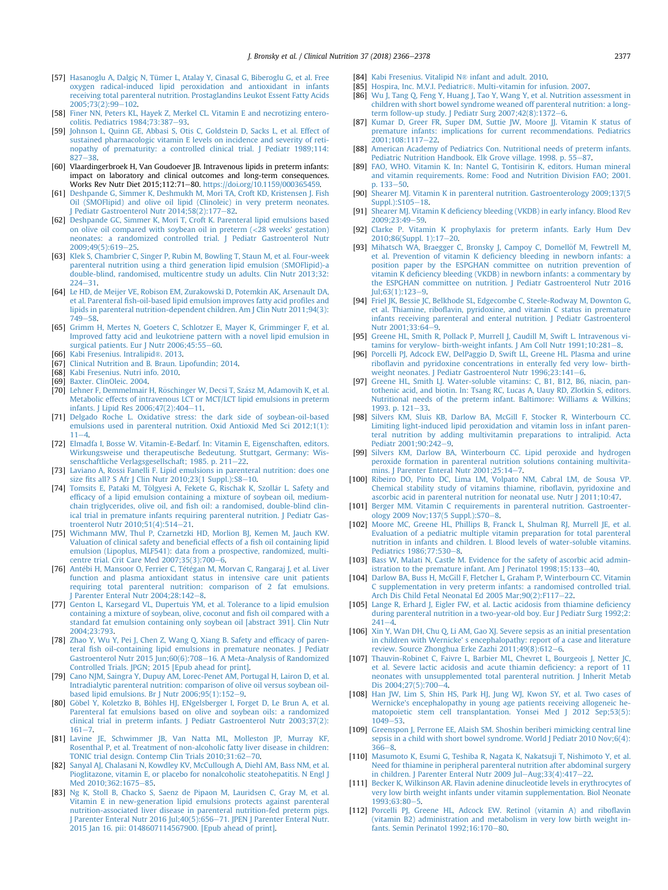- <span id="page-11-0"></span>[57] [Hasanoglu A, Dalgiç N, Tümer L, Atalay Y, Cinasal G, Biberoglu G, et al. Free](http://refhub.elsevier.com/S0261-5614(18)31170-1/sref57) [oxygen radical-induced lipid peroxidation and antioxidant in infants](http://refhub.elsevier.com/S0261-5614(18)31170-1/sref57) [receiving total parenteral nutrition. Prostaglandins Leukot Essent Fatty Acids](http://refhub.elsevier.com/S0261-5614(18)31170-1/sref57)  $2005;73(2):99-102.$  $2005;73(2):99-102.$  $2005;73(2):99-102.$  $2005;73(2):99-102.$
- [58] Finer NN, Peters KL, Hayek Z, Merkel CL, Vitamin E and necrotizing entero[colitis. Pediatrics 1984;73:387](http://refhub.elsevier.com/S0261-5614(18)31170-1/sref58)-[93](http://refhub.elsevier.com/S0261-5614(18)31170-1/sref58).
- [59] [Johnson L, Quinn GE, Abbasi S, Otis C, Goldstein D, Sacks L, et al. Effect of](http://refhub.elsevier.com/S0261-5614(18)31170-1/sref59) [sustained pharmacologic vitamin E levels on incidence and severity of reti](http://refhub.elsevier.com/S0261-5614(18)31170-1/sref59)[nopathy of prematurity: a controlled clinical trial. J Pediatr 1989;114:](http://refhub.elsevier.com/S0261-5614(18)31170-1/sref59)  $827 - 38$  $827 - 38$  $827 - 38$
- [60] Vlaardingerbroek H, Van Goudoever JB. Intravenous lipids in preterm infants: impact on laboratory and clinical outcomes and long-term consequences. Works Rev Nutr Diet 2015:112:71-80. <https://doi.org/10.1159/000365459>.
- [61] [Deshpande G, Simmer K, Deshmukh M, Mori TA, Croft KD, Kristensen J. Fish](http://refhub.elsevier.com/S0261-5614(18)31170-1/sref61) [Oil \(SMOFlipid\) and olive oil lipid \(Clinoleic\) in very preterm neonates.](http://refhub.elsevier.com/S0261-5614(18)31170-1/sref61)  $\sim$  Pediatr Gastroenterol Nutr 2014:58(2):177–[82.](http://refhub.elsevier.com/S0261-5614(18)31170-1/sref61)
- [62] [Deshpande GC, Simmer K, Mori T, Croft K. Parenteral lipid emulsions based](http://refhub.elsevier.com/S0261-5614(18)31170-1/sref62) on olive oil compared with soybean oil in preterm  $\langle$  -28 weeks' gestation) [neonates: a randomized controlled trial. J Pediatr Gastroenterol Nutr](http://refhub.elsevier.com/S0261-5614(18)31170-1/sref62) 2009:49(5):619-[25](http://refhub.elsevier.com/S0261-5614(18)31170-1/sref62).
- [63] [Klek S, Chambrier C, Singer P, Rubin M, Bowling T, Staun M, et al. Four-week](http://refhub.elsevier.com/S0261-5614(18)31170-1/sref63) [parenteral nutrition using a third generation lipid emulsion \(SMOFlipid\)-a](http://refhub.elsevier.com/S0261-5614(18)31170-1/sref63) [double-blind, randomised, multicentre study un adults. Clin Nutr 2013;32:](http://refhub.elsevier.com/S0261-5614(18)31170-1/sref63)  $224 - 31$  $224 - 31$  $224 - 31$
- [64] [Le HD, de Meijer VE, Robison EM, Zurakowski D, Potemkin AK, Arsenault DA,](http://refhub.elsevier.com/S0261-5614(18)31170-1/sref64) et al. Parenteral fi[sh-oil-based lipid emulsion improves fatty acid pro](http://refhub.elsevier.com/S0261-5614(18)31170-1/sref64)files and [lipids in parenteral nutrition-dependent children. Am J Clin Nutr 2011;94\(3\):](http://refhub.elsevier.com/S0261-5614(18)31170-1/sref64)  $749 - 58$  $749 - 58$  $749 - 58$
- [65] [Grimm H, Mertes N, Goeters C, Schlotzer E, Mayer K, Grimminger F, et al.](http://refhub.elsevier.com/S0261-5614(18)31170-1/sref65) [Improved fatty acid and leukotriene pattern with a novel lipid emulsion in](http://refhub.elsevier.com/S0261-5614(18)31170-1/sref65) [surgical patients. Eur J Nutr 2006;45:55](http://refhub.elsevier.com/S0261-5614(18)31170-1/sref65)-[60.](http://refhub.elsevier.com/S0261-5614(18)31170-1/sref65)
- [66] [Kabi Fresenius. Intralipid](http://refhub.elsevier.com/S0261-5614(18)31170-1/sref66)®. 2013.
- [67] [Clinical Nutrition and B. Braun. Lipofundin; 2014](http://refhub.elsevier.com/S0261-5614(18)31170-1/sref67).
- [68] [Kabi Fresenius. Nutri info. 2010.](http://refhub.elsevier.com/S0261-5614(18)31170-1/sref68)
- [69] [Baxter. ClinOleic. 2004](http://refhub.elsevier.com/S0261-5614(18)31170-1/sref69).
- [70] Lehner F, Demmelmair H, Röschinger W, Decsi T, Szász M, Adamovih K, et al. [Metabolic effects of intravenous LCT or MCT/LCT lipid emulsions in preterm](http://refhub.elsevier.com/S0261-5614(18)31170-1/sref70) [infants. J Lipid Res 2006;47\(2\):404](http://refhub.elsevier.com/S0261-5614(18)31170-1/sref70)-[11.](http://refhub.elsevier.com/S0261-5614(18)31170-1/sref70)
- [71] [Delgado Roche L. Oxidative stress: the dark side of soybean-oil-based](http://refhub.elsevier.com/S0261-5614(18)31170-1/sref71) [emulsions used in parenteral nutrition. Oxid Antioxid Med Sci 2012;1\(1\):](http://refhub.elsevier.com/S0261-5614(18)31170-1/sref71)  $11 - 4$  $11 - 4$
- [72] [Elmadfa I, Bosse W. Vitamin-E-Bedarf. In: Vitamin E, Eigenschaften, editors.](http://refhub.elsevier.com/S0261-5614(18)31170-1/sref72) [Wirkungsweise und therapeutische Bedeutung. Stuttgart, Germany: Wis](http://refhub.elsevier.com/S0261-5614(18)31170-1/sref72)[senschaftliche Verlagsgesellschaft; 1985. p. 211](http://refhub.elsevier.com/S0261-5614(18)31170-1/sref72)-[22.](http://refhub.elsevier.com/S0261-5614(18)31170-1/sref72)
- [73] [Laviano A, Rossi Fanelli F. Lipid emulsions in parenteral nutrition: does one](http://refhub.elsevier.com/S0261-5614(18)31170-1/sref73) size fi[ts all? S Afr J Clin Nutr 2010;23\(1 Suppl.\):S8](http://refhub.elsevier.com/S0261-5614(18)31170-1/sref73)-[10.](http://refhub.elsevier.com/S0261-5614(18)31170-1/sref73)
- [74] [Tomsits E, Pataki M, T](http://refhub.elsevier.com/S0261-5614(18)31170-1/sref74)ö[lgyesi A, Fekete G, Rischak K, Szoll](http://refhub.elsevier.com/S0261-5614(18)31170-1/sref74)ár L. Safety and effi[cacy of a lipid emulsion containing a mixture of soybean oil, medium](http://refhub.elsevier.com/S0261-5614(18)31170-1/sref74)chain triglycerides, olive oil, and fi[sh oil: a randomised, double-blind clin](http://refhub.elsevier.com/S0261-5614(18)31170-1/sref74)[ical trial in premature infants requiring parenteral nutrition. J Pediatr Gas](http://refhub.elsevier.com/S0261-5614(18)31170-1/sref74)[troenterol Nutr 2010;51\(4\):514](http://refhub.elsevier.com/S0261-5614(18)31170-1/sref74)-[21](http://refhub.elsevier.com/S0261-5614(18)31170-1/sref74).
- [75] [Wichmann MW, Thul P, Czarnetzki HD, Morlion BJ, Kemen M, Jauch KW.](http://refhub.elsevier.com/S0261-5614(18)31170-1/sref75) [Valuation of clinical safety and bene](http://refhub.elsevier.com/S0261-5614(18)31170-1/sref75)ficial effects of a fish oil containing lipid [emulsion \(Lipoplus, MLF541\): data from a prospective, randomized, multi](http://refhub.elsevier.com/S0261-5614(18)31170-1/sref75)centre trial. Crit Care Med  $2007;35(3):700-6$  $2007;35(3):700-6$ .
- [76] [Ant](http://refhub.elsevier.com/S0261-5614(18)31170-1/sref76)é[bi H, Mansoor O, Ferrier C, T](http://refhub.elsevier.com/S0261-5614(18)31170-1/sref76)étégan M, Morvan C, Rangaraj J, [et](http://refhub.elsevier.com/S0261-5614(18)31170-1/sref76) al. Liver [function and plasma antioxidant status in intensive care unit patients](http://refhub.elsevier.com/S0261-5614(18)31170-1/sref76) [requiring total parenteral nutrition: comparison of 2 fat emulsions.](http://refhub.elsevier.com/S0261-5614(18)31170-1/sref76) J Parenter Enteral Nutr  $2004;28;142-8$ .
- [77] [Genton L, Karsegard VL, Dupertuis YM, et al. Tolerance to a lipid emulsion](http://refhub.elsevier.com/S0261-5614(18)31170-1/sref77) [containing a mixture of soybean, olive, coconut and](http://refhub.elsevier.com/S0261-5614(18)31170-1/sref77) fish oil compared with a [standard fat emulsion containing only soybean oil \[abstract 391\]. Clin Nutr](http://refhub.elsevier.com/S0261-5614(18)31170-1/sref77) [2004;23:793](http://refhub.elsevier.com/S0261-5614(18)31170-1/sref77).
- [78] [Zhao Y, Wu Y, Pei J, Chen Z, Wang Q, Xiang B. Safety and ef](http://refhub.elsevier.com/S0261-5614(18)31170-1/sref78)ficacy of parenteral fi[sh oil-containing lipid emulsions in premature neonates. J Pediatr](http://refhub.elsevier.com/S0261-5614(18)31170-1/sref78) [Gastroenterol Nutr 2015 Jun;60\(6\):708](http://refhub.elsevier.com/S0261-5614(18)31170-1/sref78)-[16. A Meta-Analysis of Randomized](http://refhub.elsevier.com/S0261-5614(18)31170-1/sref78) [Controlled Trials. JPGN; 2015 \[Epub ahead for print\]](http://refhub.elsevier.com/S0261-5614(18)31170-1/sref78).
- [79] [Cano NJM, Saingra Y, Dupuy AM, Lorec-Penet AM, Portugal H, Lairon D, et al.](http://refhub.elsevier.com/S0261-5614(18)31170-1/sref79) [Intradialytic parenteral nutrition: comparison of olive oil versus soybean oil](http://refhub.elsevier.com/S0261-5614(18)31170-1/sref79)based lipid emulsions. Br J Nutr  $2006;95(1):152-9$ .
- [80] Göbel Y, Koletzko B, Böhles HJ, ENgelsberger I, Forget D, Le Brun A, et al. [Parenteral fat emulsions based on olive and soybean oils: a randomized](http://refhub.elsevier.com/S0261-5614(18)31170-1/sref80) [clinical trial in preterm infants. J Pediatr Gastroenterol Nutr 2003;37\(2\):](http://refhub.elsevier.com/S0261-5614(18)31170-1/sref80)  $161 - 7.$  $161 - 7.$  $161 - 7.$  $161 - 7.$
- [81] [Lavine JE, Schwimmer JB, Van Natta ML, Molleston JP, Murray KF,](http://refhub.elsevier.com/S0261-5614(18)31170-1/sref81) [Rosenthal P, et al. Treatment of non-alcoholic fatty liver disease in children:](http://refhub.elsevier.com/S0261-5614(18)31170-1/sref81) TONIC trial design. Contemp Clin Trials  $2010;31:62-70$ .
- [82] [Sanyal AJ, Chalasani N, Kowdley KV, McCullough A, Diehl AM, Bass NM, et al.](http://refhub.elsevier.com/S0261-5614(18)31170-1/sref82) [Pioglitazone, vitamin E, or placebo for nonalcoholic steatohepatitis. N Engl J](http://refhub.elsevier.com/S0261-5614(18)31170-1/sref82) [Med 2010;362:1675](http://refhub.elsevier.com/S0261-5614(18)31170-1/sref82)-[85.](http://refhub.elsevier.com/S0261-5614(18)31170-1/sref82)
- [83] [Ng K, Stoll B, Chacko S, Saenz de Pipaon M, Lauridsen C, Gray M, et al.](http://refhub.elsevier.com/S0261-5614(18)31170-1/sref83) [Vitamin E in new-generation lipid emulsions protects against parenteral](http://refhub.elsevier.com/S0261-5614(18)31170-1/sref83) [nutrition-associated liver disease in parenteral nutrition-fed preterm pigs.](http://refhub.elsevier.com/S0261-5614(18)31170-1/sref83) J Parenter Enteral Nutr 2016 Jul; 40(5): 656-[71. JPEN J Parenter Enteral Nutr.](http://refhub.elsevier.com/S0261-5614(18)31170-1/sref83) [2015 Jan 16. pii: 0148607114567900. \[Epub ahead of print\]](http://refhub.elsevier.com/S0261-5614(18)31170-1/sref83).
- [84] [Kabi Fresenius. Vitalipid N](http://refhub.elsevier.com/S0261-5614(18)31170-1/sref84)® infant and adult. 2010.
- [85] Hospira, Inc. M.V.I. Pediatric®[. Multi-vitamin for infusion. 2007.](http://refhub.elsevier.com/S0261-5614(18)31170-1/sref85)
- [86] [Wu J, Tang Q, Feng Y, Huang J, Tao Y, Wang Y, et al. Nutrition assessment in](http://refhub.elsevier.com/S0261-5614(18)31170-1/sref86) [children with short bowel syndrome weaned off parenteral nutrition: a long](http://refhub.elsevier.com/S0261-5614(18)31170-1/sref86)term follow-up study. J Pediatr Surg  $2007;42(8);1372-6$  $2007;42(8);1372-6$ .
- [87] [Kumar D, Greer FR, Super DM, Suttie JW, Moore JJ. Vitamin K status of](http://refhub.elsevier.com/S0261-5614(18)31170-1/sref87) [premature infants: implications for current recommendations. Pediatrics](http://refhub.elsevier.com/S0261-5614(18)31170-1/sref87) [2001;108:1117](http://refhub.elsevier.com/S0261-5614(18)31170-1/sref87)e[22](http://refhub.elsevier.com/S0261-5614(18)31170-1/sref87).
- [88] [American Academy of Pediatrics Con. Nutritional needs of preterm infants.](http://refhub.elsevier.com/S0261-5614(18)31170-1/sref88) [Pediatric Nutrition Handbook. Elk Grove village. 1998. p. 55](http://refhub.elsevier.com/S0261-5614(18)31170-1/sref88)-[87](http://refhub.elsevier.com/S0261-5614(18)31170-1/sref88).
- [89] [FAO, WHO. Vitamin K. In: Nantel G, Tontisirin K, editors. Human mineral](http://refhub.elsevier.com/S0261-5614(18)31170-1/sref89) [and vitamin requirements. Rome: Food and Nutrition Division FAO; 2001.](http://refhub.elsevier.com/S0261-5614(18)31170-1/sref89) [p. 133](http://refhub.elsevier.com/S0261-5614(18)31170-1/sref89)-[50.](http://refhub.elsevier.com/S0261-5614(18)31170-1/sref89)
- [90] [Shearer MJ. Vitamin K in parenteral nutrition. Gastroenterology 2009;137\(5](http://refhub.elsevier.com/S0261-5614(18)31170-1/sref90)  $Sunpl.$ ): $$105-18$  $$105-18$ .
- [91] Shearer MJ. Vitamin K defi[ciency bleeding \(VKDB\) in early infancy. Blood Rev](http://refhub.elsevier.com/S0261-5614(18)31170-1/sref91)  $2009.23.49 - 59$
- [92] [Clarke P. Vitamin K prophylaxis for preterm infants. Early Hum Dev](http://refhub.elsevier.com/S0261-5614(18)31170-1/sref92)  $2010:86$  $2010:86$ (Suppl. 1):17-20.
- [93] Mihatsch WA, Braegger C, Bronsky J, Campoy C, Domellöf M, Fewtrell M, et al. Prevention of vitamin K defi[ciency bleeding in newborn infants: a](http://refhub.elsevier.com/S0261-5614(18)31170-1/sref93) [position paper by the ESPGHAN committee on nutrition prevention of](http://refhub.elsevier.com/S0261-5614(18)31170-1/sref93) vitamin K defi[ciency bleeding \(VKDB\) in newborn infants: a commentary by](http://refhub.elsevier.com/S0261-5614(18)31170-1/sref93) [the ESPGHAN committee on nutrition. J Pediatr Gastroenterol Nutr 2016](http://refhub.elsevier.com/S0261-5614(18)31170-1/sref93)  $Jul; 63(1): 123-9.$  $Jul; 63(1): 123-9.$  $Jul; 63(1): 123-9.$
- [94] [Friel JK, Bessie JC, Belkhode SL, Edgecombe C, Steele-Rodway M, Downton G,](http://refhub.elsevier.com/S0261-5614(18)31170-1/sref94) et al. Thiamine, ribofl[avin, pyridoxine, and vitamin C status in premature](http://refhub.elsevier.com/S0261-5614(18)31170-1/sref94) [infants receiving parenteral and enteral nutrition. J Pediatr Gastroenterol](http://refhub.elsevier.com/S0261-5614(18)31170-1/sref94)  $N$ utr  $2001:33:64-9$  $2001:33:64-9$
- [95] [Greene HL, Smith R, Pollack P, Murrell J, Caudill M, Swift L. Intravenous vi](http://refhub.elsevier.com/S0261-5614(18)31170-1/sref95)tamins for verylow- birth-weight infants. J Am Coll Nutr  $1991;10:281-8$  $1991;10:281-8$  $1991;10:281-8$ .
- [96] [Porcelli PJ, Adcock EW, DelPaggio D, Swift LL, Greene HL. Plasma and urine](http://refhub.elsevier.com/S0261-5614(18)31170-1/sref96) ribofl[avin and pyridoxine concentrations in enterally fed very low- birth](http://refhub.elsevier.com/S0261-5614(18)31170-1/sref96)[weight neonates. J Pediatr Gastroenterol Nutr 1996;23:141](http://refhub.elsevier.com/S0261-5614(18)31170-1/sref96)-[6.](http://refhub.elsevier.com/S0261-5614(18)31170-1/sref96)
- [97] [Greene HL, Smith LJ. Water-soluble vitamins: C, B1, B12, B6, niacin, pan](http://refhub.elsevier.com/S0261-5614(18)31170-1/sref97)[tothenic acid, and biotin. In: Tsang RC, Lucas A, Uauy RD, Zlotkin S, editors.](http://refhub.elsevier.com/S0261-5614(18)31170-1/sref97) [Nutritional needs of the preterm infant. Baltimore: Williams](http://refhub.elsevier.com/S0261-5614(18)31170-1/sref97) & [Wilkins;](http://refhub.elsevier.com/S0261-5614(18)31170-1/sref97) [1993. p. 121](http://refhub.elsevier.com/S0261-5614(18)31170-1/sref97)-[33.](http://refhub.elsevier.com/S0261-5614(18)31170-1/sref97)
- [98] [Silvers KM, Sluis KB, Darlow BA, McGill F, Stocker R, Winterbourn CC.](http://refhub.elsevier.com/S0261-5614(18)31170-1/sref98) [Limiting light-induced lipid peroxidation and vitamin loss in infant paren](http://refhub.elsevier.com/S0261-5614(18)31170-1/sref98)[teral nutrition by adding multivitamin preparations to intralipid. Acta](http://refhub.elsevier.com/S0261-5614(18)31170-1/sref98) Pediatr 2001:90:242-[9.](http://refhub.elsevier.com/S0261-5614(18)31170-1/sref98)
- [99] [Silvers KM, Darlow BA, Winterbourn CC. Lipid peroxide and hydrogen](http://refhub.elsevier.com/S0261-5614(18)31170-1/sref99) [peroxide formation in parenteral nutrition solutions containing multivita](http://refhub.elsevier.com/S0261-5614(18)31170-1/sref99)[mins. J Parenter Enteral Nutr 2001;25:14](http://refhub.elsevier.com/S0261-5614(18)31170-1/sref99)-7
- [100] [Ribeiro DO, Pinto DC, Lima LM, Volpato NM, Cabral LM, de Sousa VP.](http://refhub.elsevier.com/S0261-5614(18)31170-1/sref100) [Chemical stability study of vitamins thiamine, ribo](http://refhub.elsevier.com/S0261-5614(18)31170-1/sref100)flavin, pyridoxine and [ascorbic acid in parenteral nutrition for neonatal use. Nutr J 2011;10:47](http://refhub.elsevier.com/S0261-5614(18)31170-1/sref100).
- [101] [Berger MM. Vitamin C requirements in parenteral nutrition. Gastroenter](http://refhub.elsevier.com/S0261-5614(18)31170-1/sref101)[ology 2009 Nov;137\(5 Suppl.\):S70](http://refhub.elsevier.com/S0261-5614(18)31170-1/sref101)-[8](http://refhub.elsevier.com/S0261-5614(18)31170-1/sref101).
- [102] [Moore MC, Greene HL, Phillips B, Franck L, Shulman RJ, Murrell JE, et al.](http://refhub.elsevier.com/S0261-5614(18)31170-1/sref102) [Evaluation of a pediatric multiple vitamin preparation for total parenteral](http://refhub.elsevier.com/S0261-5614(18)31170-1/sref102) [nutrition in infants and children. I. Blood levels of water-soluble vitamins.](http://refhub.elsevier.com/S0261-5614(18)31170-1/sref102) [Pediatrics 1986;77:530](http://refhub.elsevier.com/S0261-5614(18)31170-1/sref102)-[8.](http://refhub.elsevier.com/S0261-5614(18)31170-1/sref102)
- [103] [Bass W, Malati N, Castle M. Evidence for the safety of ascorbic acid admin](http://refhub.elsevier.com/S0261-5614(18)31170-1/sref103)[istration to the premature infant. Am J Perinatol 1998;15:133](http://refhub.elsevier.com/S0261-5614(18)31170-1/sref103)-[40](http://refhub.elsevier.com/S0261-5614(18)31170-1/sref103).
- [104] [Darlow BA, Buss H, McGill F, Fletcher L, Graham P, Winterbourn CC. Vitamin](http://refhub.elsevier.com/S0261-5614(18)31170-1/sref104) [C supplementation in very preterm infants: a randomised controlled trial.](http://refhub.elsevier.com/S0261-5614(18)31170-1/sref104) [Arch Dis Child Fetal Neonatal Ed 2005 Mar;90\(2\):F117](http://refhub.elsevier.com/S0261-5614(18)31170-1/sref104)-[22](http://refhub.elsevier.com/S0261-5614(18)31170-1/sref104).
- [105] [Lange R, Erhard J, Eigler FW, et al. Lactic acidosis from thiamine de](http://refhub.elsevier.com/S0261-5614(18)31170-1/sref105)ficiency [during parenteral nutrition in a two-year-old boy. Eur J Pediatr Surg 1992;2:](http://refhub.elsevier.com/S0261-5614(18)31170-1/sref105)  $241 - 4$  $241 - 4$
- [106] [Xin Y, Wan DH, Chu Q, Li AM, Gao XJ. Severe sepsis as an initial presentation](http://refhub.elsevier.com/S0261-5614(18)31170-1/sref106) [in children with Wernicke' s encephalopathy: report of a case and literature](http://refhub.elsevier.com/S0261-5614(18)31170-1/sref106) [review. Source Zhonghua Erke Zazhi 2011;49\(8\):612](http://refhub.elsevier.com/S0261-5614(18)31170-1/sref106)-[6.](http://refhub.elsevier.com/S0261-5614(18)31170-1/sref106)
- [107] [Thauvin-Robinet C, Faivre L, Barbier ML, Chevret L, Bourgeois J, Netter JC,](http://refhub.elsevier.com/S0261-5614(18)31170-1/sref107) [et al. Severe lactic acidosis and acute thiamin de](http://refhub.elsevier.com/S0261-5614(18)31170-1/sref107)ficiency: a report of 11 [neonates with unsupplemented total parenteral nutrition. J Inherit Metab](http://refhub.elsevier.com/S0261-5614(18)31170-1/sref107) Dis  $2004;27(5):700-4$  $2004;27(5):700-4$  $2004;27(5):700-4$ .
- [108] [Han JW, Lim S, Shin HS, Park HJ, Jung WJ, Kwon SY, et al. Two cases of](http://refhub.elsevier.com/S0261-5614(18)31170-1/sref108) [Wernicke's encephalopathy in young age patients receiving allogeneic he](http://refhub.elsevier.com/S0261-5614(18)31170-1/sref108)[matopoietic stem cell transplantation. Yonsei Med J 2012 Sep;53\(5\):](http://refhub.elsevier.com/S0261-5614(18)31170-1/sref108)  $1049 - 53$  $1049 - 53$  $1049 - 53$ .
- [109] [Greenspon J, Perrone EE, Alaish SM. Shoshin beriberi mimicking central line](http://refhub.elsevier.com/S0261-5614(18)31170-1/sref109) [sepsis in a child with short bowel syndrome. World J Pediatr 2010 Nov;6\(4\):](http://refhub.elsevier.com/S0261-5614(18)31170-1/sref109)  $366 - 8$  $366 - 8$ .
- [110] [Masumoto K, Esumi G, Teshiba R, Nagata K, Nakatsuji T, Nishimoto Y, et al.](http://refhub.elsevier.com/S0261-5614(18)31170-1/sref110) [Need for thiamine in peripheral parenteral nutrition after abdominal surgery](http://refhub.elsevier.com/S0261-5614(18)31170-1/sref110) [in children. J Parenter Enteral Nutr 2009 Jul](http://refhub.elsevier.com/S0261-5614(18)31170-1/sref110)-Aug;  $33(4)$ :  $417-22$ .
- [111] [Becker K, Wilkinson AR. Flavin adenine dinucleotide levels in erythrocytes of](http://refhub.elsevier.com/S0261-5614(18)31170-1/sref111) [very low birth weight infants under vitamin supplementation. Biol Neonate](http://refhub.elsevier.com/S0261-5614(18)31170-1/sref111) [1993;63:80](http://refhub.elsevier.com/S0261-5614(18)31170-1/sref111)-[5](http://refhub.elsevier.com/S0261-5614(18)31170-1/sref111).
- [112] [Porcelli PJ, Greene HL, Adcock EW. Retinol \(vitamin A\) and ribo](http://refhub.elsevier.com/S0261-5614(18)31170-1/sref112)flavin [\(vitamin B2\) administration and metabolism in very low birth weight in](http://refhub.elsevier.com/S0261-5614(18)31170-1/sref112)[fants. Semin Perinatol 1992;16:170](http://refhub.elsevier.com/S0261-5614(18)31170-1/sref112)-[80](http://refhub.elsevier.com/S0261-5614(18)31170-1/sref112).